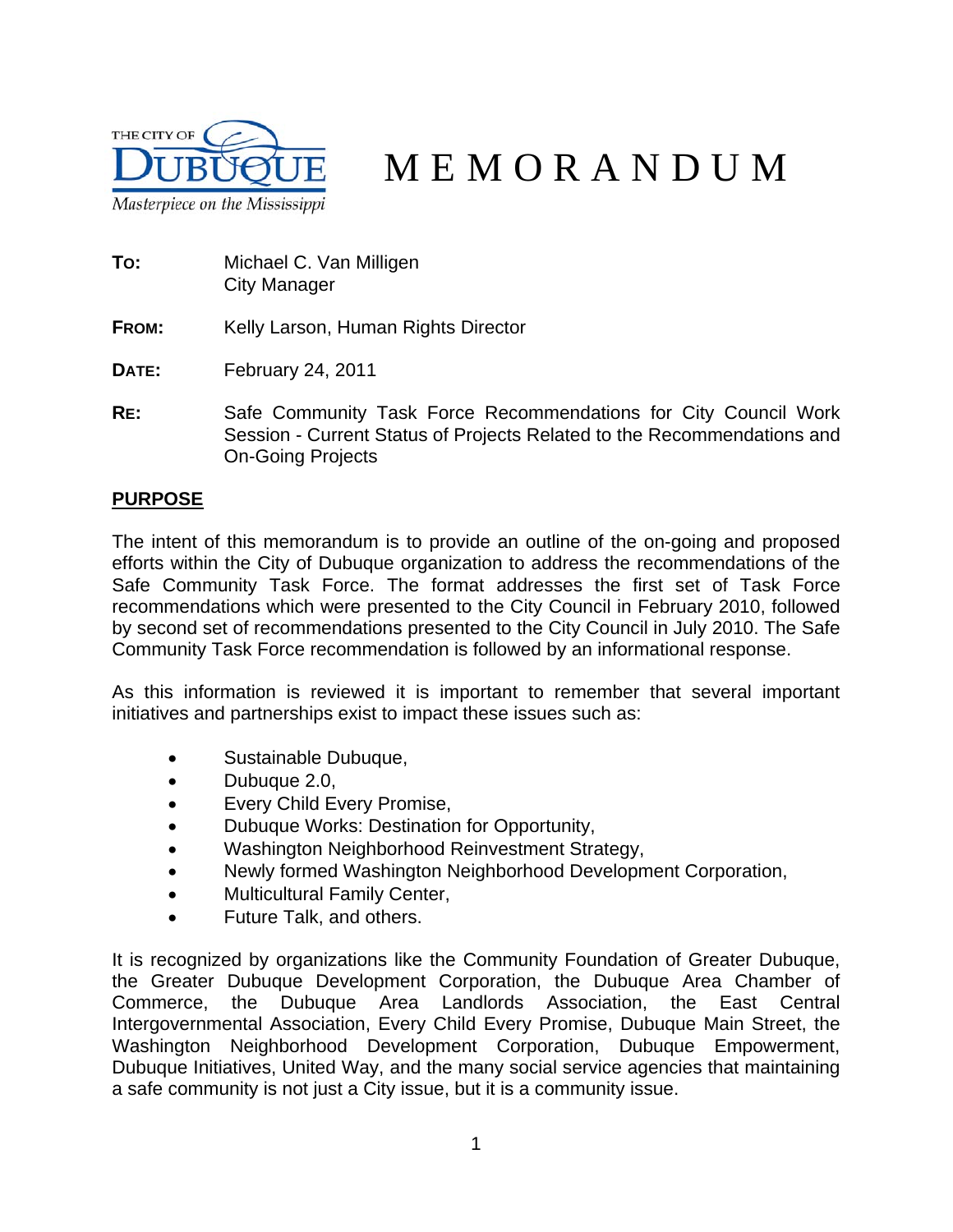

# MEMORANDUM

- **TO:** Michael C. Van Milligen City Manager
- **FROM:** Kelly Larson, Human Rights Director
- **DATE:** February 24, 2011
- **RE:** Safe Community Task Force Recommendations for City Council Work Session - Current Status of Projects Related to the Recommendations and On-Going Projects

## **PURPOSE**

The intent of this memorandum is to provide an outline of the on-going and proposed efforts within the City of Dubuque organization to address the recommendations of the Safe Community Task Force. The format addresses the first set of Task Force recommendations which were presented to the City Council in February 2010, followed by second set of recommendations presented to the City Council in July 2010. The Safe Community Task Force recommendation is followed by an informational response.

As this information is reviewed it is important to remember that several important initiatives and partnerships exist to impact these issues such as:

- Sustainable Dubuque,
- Dubuque 2.0,
- Every Child Every Promise,
- Dubuque Works: Destination for Opportunity,
- Washington Neighborhood Reinvestment Strategy,
- Newly formed Washington Neighborhood Development Corporation,
- Multicultural Family Center,
- Future Talk, and others.

It is recognized by organizations like the Community Foundation of Greater Dubuque, the Greater Dubuque Development Corporation, the Dubuque Area Chamber of Commerce, the Dubuque Area Landlords Association, the East Central Intergovernmental Association, Every Child Every Promise, Dubuque Main Street, the Washington Neighborhood Development Corporation, Dubuque Empowerment, Dubuque Initiatives, United Way, and the many social service agencies that maintaining a safe community is not just a City issue, but it is a community issue.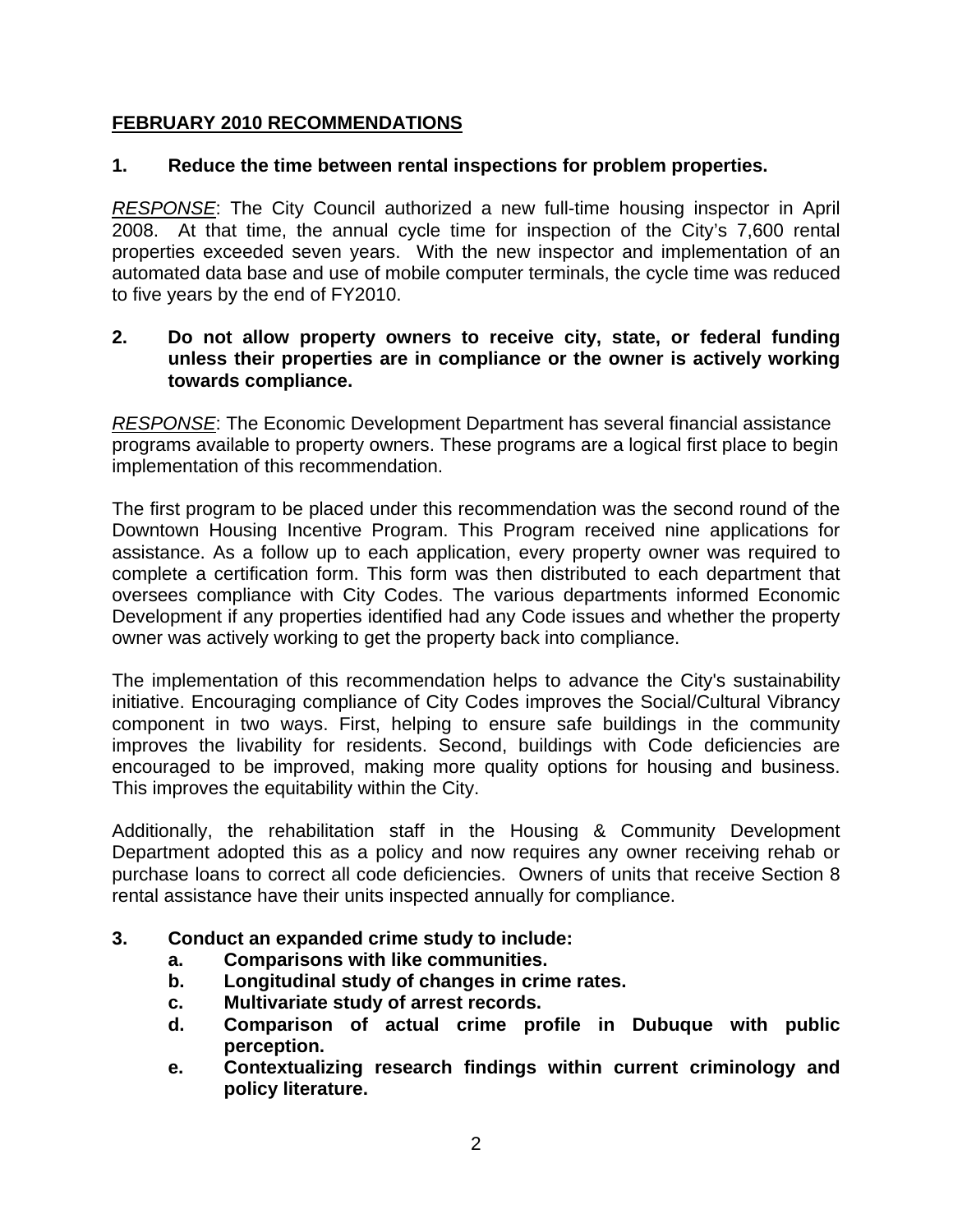## **FEBRUARY 2010 RECOMMENDATIONS**

## **1. Reduce the time between rental inspections for problem properties.**

*RESPONSE*: The City Council authorized a new full-time housing inspector in April 2008. At that time, the annual cycle time for inspection of the City's 7,600 rental properties exceeded seven years. With the new inspector and implementation of an automated data base and use of mobile computer terminals, the cycle time was reduced to five years by the end of FY2010.

#### **2. Do not allow property owners to receive city, state, or federal funding unless their properties are in compliance or the owner is actively working towards compliance.**

*RESPONSE*: The Economic Development Department has several financial assistance programs available to property owners. These programs are a logical first place to begin implementation of this recommendation.

The first program to be placed under this recommendation was the second round of the Downtown Housing Incentive Program. This Program received nine applications for assistance. As a follow up to each application, every property owner was required to complete a certification form. This form was then distributed to each department that oversees compliance with City Codes. The various departments informed Economic Development if any properties identified had any Code issues and whether the property owner was actively working to get the property back into compliance.

The implementation of this recommendation helps to advance the City's sustainability initiative. Encouraging compliance of City Codes improves the Social/Cultural Vibrancy component in two ways. First, helping to ensure safe buildings in the community improves the livability for residents. Second, buildings with Code deficiencies are encouraged to be improved, making more quality options for housing and business. This improves the equitability within the City.

Additionally, the rehabilitation staff in the Housing & Community Development Department adopted this as a policy and now requires any owner receiving rehab or purchase loans to correct all code deficiencies. Owners of units that receive Section 8 rental assistance have their units inspected annually for compliance.

- **3. Conduct an expanded crime study to include:** 
	- **a. Comparisons with like communities.**
	- **b. Longitudinal study of changes in crime rates.**
	- **c. Multivariate study of arrest records.**
	- **d. Comparison of actual crime profile in Dubuque with public perception.**
	- **e. Contextualizing research findings within current criminology and policy literature.**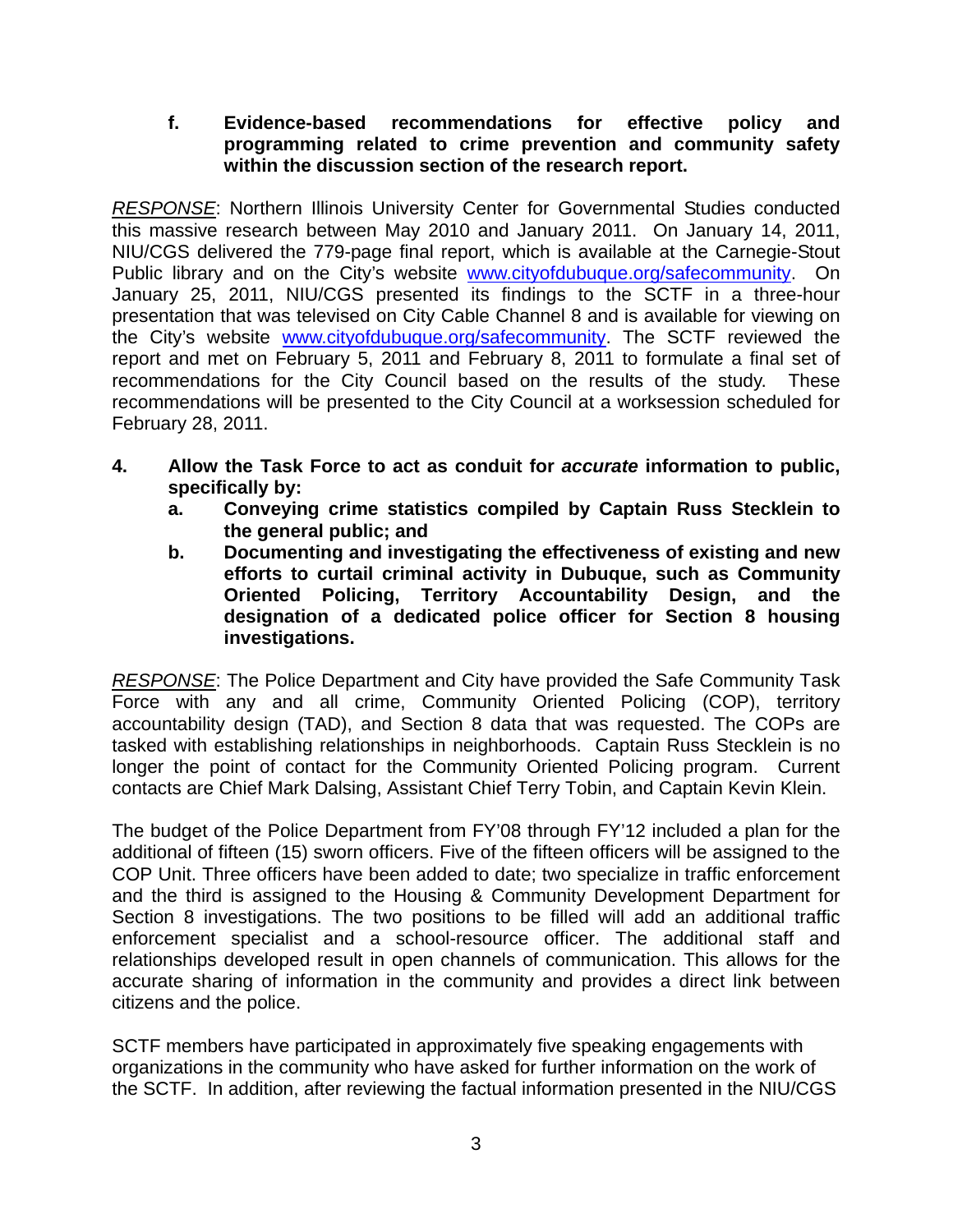## **f. Evidence-based recommendations for effective policy and programming related to crime prevention and community safety within the discussion section of the research report.**

*RESPONSE*: Northern Illinois University Center for Governmental Studies conducted this massive research between May 2010 and January 2011. On January 14, 2011, NIU/CGS delivered the 779-page final report, which is available at the Carnegie-Stout Public library and on the City's website **www.cityofdubuque.org/safecommunity**. On January 25, 2011, NIU/CGS presented its findings to the SCTF in a three-hour presentation that was televised on City Cable Channel 8 and is available for viewing on the City's website www.cityofdubuque.org/safecommunity. The SCTF reviewed the report and met on February 5, 2011 and February 8, 2011 to formulate a final set of recommendations for the City Council based on the results of the study. These recommendations will be presented to the City Council at a worksession scheduled for February 28, 2011.

- **4. Allow the Task Force to act as conduit for** *accurate* **information to public, specifically by:** 
	- **a. Conveying crime statistics compiled by Captain Russ Stecklein to the general public; and**
	- **b. Documenting and investigating the effectiveness of existing and new efforts to curtail criminal activity in Dubuque, such as Community Oriented Policing, Territory Accountability Design, and the designation of a dedicated police officer for Section 8 housing investigations.**

*RESPONSE*: The Police Department and City have provided the Safe Community Task Force with any and all crime, Community Oriented Policing (COP), territory accountability design (TAD), and Section 8 data that was requested. The COPs are tasked with establishing relationships in neighborhoods. Captain Russ Stecklein is no longer the point of contact for the Community Oriented Policing program. Current contacts are Chief Mark Dalsing, Assistant Chief Terry Tobin, and Captain Kevin Klein.

The budget of the Police Department from FY'08 through FY'12 included a plan for the additional of fifteen (15) sworn officers. Five of the fifteen officers will be assigned to the COP Unit. Three officers have been added to date; two specialize in traffic enforcement and the third is assigned to the Housing & Community Development Department for Section 8 investigations. The two positions to be filled will add an additional traffic enforcement specialist and a school-resource officer. The additional staff and relationships developed result in open channels of communication. This allows for the accurate sharing of information in the community and provides a direct link between citizens and the police.

SCTF members have participated in approximately five speaking engagements with organizations in the community who have asked for further information on the work of the SCTF. In addition, after reviewing the factual information presented in the NIU/CGS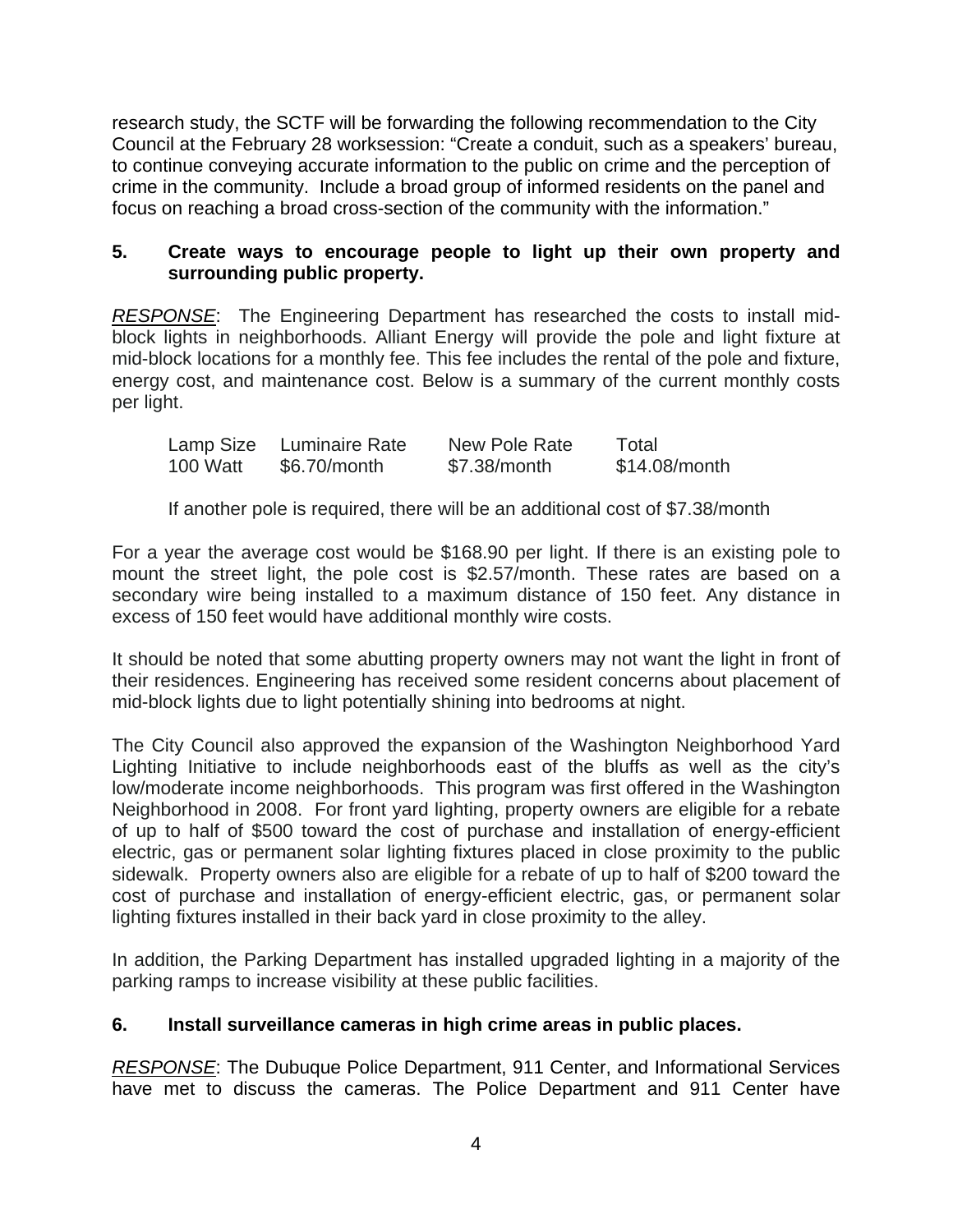research study, the SCTF will be forwarding the following recommendation to the City Council at the February 28 worksession: "Create a conduit, such as a speakers' bureau, to continue conveying accurate information to the public on crime and the perception of crime in the community. Include a broad group of informed residents on the panel and focus on reaching a broad cross-section of the community with the information."

#### **5. Create ways to encourage people to light up their own property and surrounding public property.**

*RESPONSE*: The Engineering Department has researched the costs to install midblock lights in neighborhoods. Alliant Energy will provide the pole and light fixture at mid-block locations for a monthly fee. This fee includes the rental of the pole and fixture, energy cost, and maintenance cost. Below is a summary of the current monthly costs per light.

|          | Lamp Size Luminaire Rate | New Pole Rate | Total         |
|----------|--------------------------|---------------|---------------|
| 100 Watt | \$6.70/month             | \$7.38/month  | \$14.08/month |

If another pole is required, there will be an additional cost of \$7.38/month

For a year the average cost would be \$168.90 per light. If there is an existing pole to mount the street light, the pole cost is \$2.57/month. These rates are based on a secondary wire being installed to a maximum distance of 150 feet. Any distance in excess of 150 feet would have additional monthly wire costs.

It should be noted that some abutting property owners may not want the light in front of their residences. Engineering has received some resident concerns about placement of mid-block lights due to light potentially shining into bedrooms at night.

The City Council also approved the expansion of the Washington Neighborhood Yard Lighting Initiative to include neighborhoods east of the bluffs as well as the city's low/moderate income neighborhoods. This program was first offered in the Washington Neighborhood in 2008. For front yard lighting, property owners are eligible for a rebate of up to half of \$500 toward the cost of purchase and installation of energy-efficient electric, gas or permanent solar lighting fixtures placed in close proximity to the public sidewalk. Property owners also are eligible for a rebate of up to half of \$200 toward the cost of purchase and installation of energy-efficient electric, gas, or permanent solar lighting fixtures installed in their back yard in close proximity to the alley.

In addition, the Parking Department has installed upgraded lighting in a majority of the parking ramps to increase visibility at these public facilities.

## **6. Install surveillance cameras in high crime areas in public places.**

*RESPONSE*: The Dubuque Police Department, 911 Center, and Informational Services have met to discuss the cameras. The Police Department and 911 Center have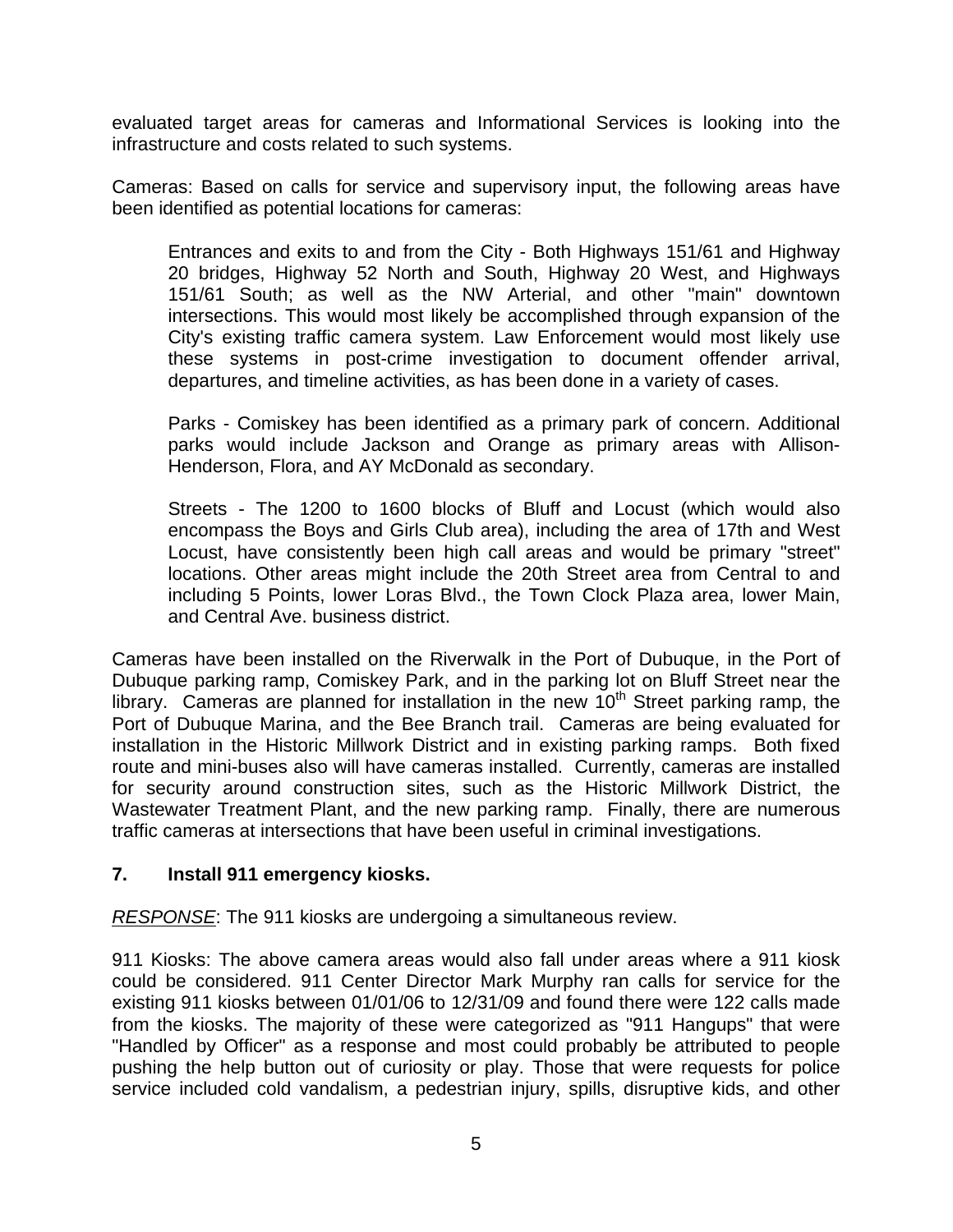evaluated target areas for cameras and Informational Services is looking into the infrastructure and costs related to such systems.

Cameras: Based on calls for service and supervisory input, the following areas have been identified as potential locations for cameras:

Entrances and exits to and from the City - Both Highways 151/61 and Highway 20 bridges, Highway 52 North and South, Highway 20 West, and Highways 151/61 South; as well as the NW Arterial, and other "main" downtown intersections. This would most likely be accomplished through expansion of the City's existing traffic camera system. Law Enforcement would most likely use these systems in post-crime investigation to document offender arrival, departures, and timeline activities, as has been done in a variety of cases.

Parks - Comiskey has been identified as a primary park of concern. Additional parks would include Jackson and Orange as primary areas with Allison-Henderson, Flora, and AY McDonald as secondary.

Streets - The 1200 to 1600 blocks of Bluff and Locust (which would also encompass the Boys and Girls Club area), including the area of 17th and West Locust, have consistently been high call areas and would be primary "street" locations. Other areas might include the 20th Street area from Central to and including 5 Points, lower Loras Blvd., the Town Clock Plaza area, lower Main, and Central Ave. business district.

Cameras have been installed on the Riverwalk in the Port of Dubuque, in the Port of Dubuque parking ramp, Comiskey Park, and in the parking lot on Bluff Street near the library. Cameras are planned for installation in the new  $10<sup>th</sup>$  Street parking ramp, the Port of Dubuque Marina, and the Bee Branch trail. Cameras are being evaluated for installation in the Historic Millwork District and in existing parking ramps. Both fixed route and mini-buses also will have cameras installed. Currently, cameras are installed for security around construction sites, such as the Historic Millwork District, the Wastewater Treatment Plant, and the new parking ramp. Finally, there are numerous traffic cameras at intersections that have been useful in criminal investigations.

#### **7. Install 911 emergency kiosks.**

*RESPONSE*: The 911 kiosks are undergoing a simultaneous review.

911 Kiosks: The above camera areas would also fall under areas where a 911 kiosk could be considered. 911 Center Director Mark Murphy ran calls for service for the existing 911 kiosks between 01/01/06 to 12/31/09 and found there were 122 calls made from the kiosks. The majority of these were categorized as "911 Hangups" that were "Handled by Officer" as a response and most could probably be attributed to people pushing the help button out of curiosity or play. Those that were requests for police service included cold vandalism, a pedestrian injury, spills, disruptive kids, and other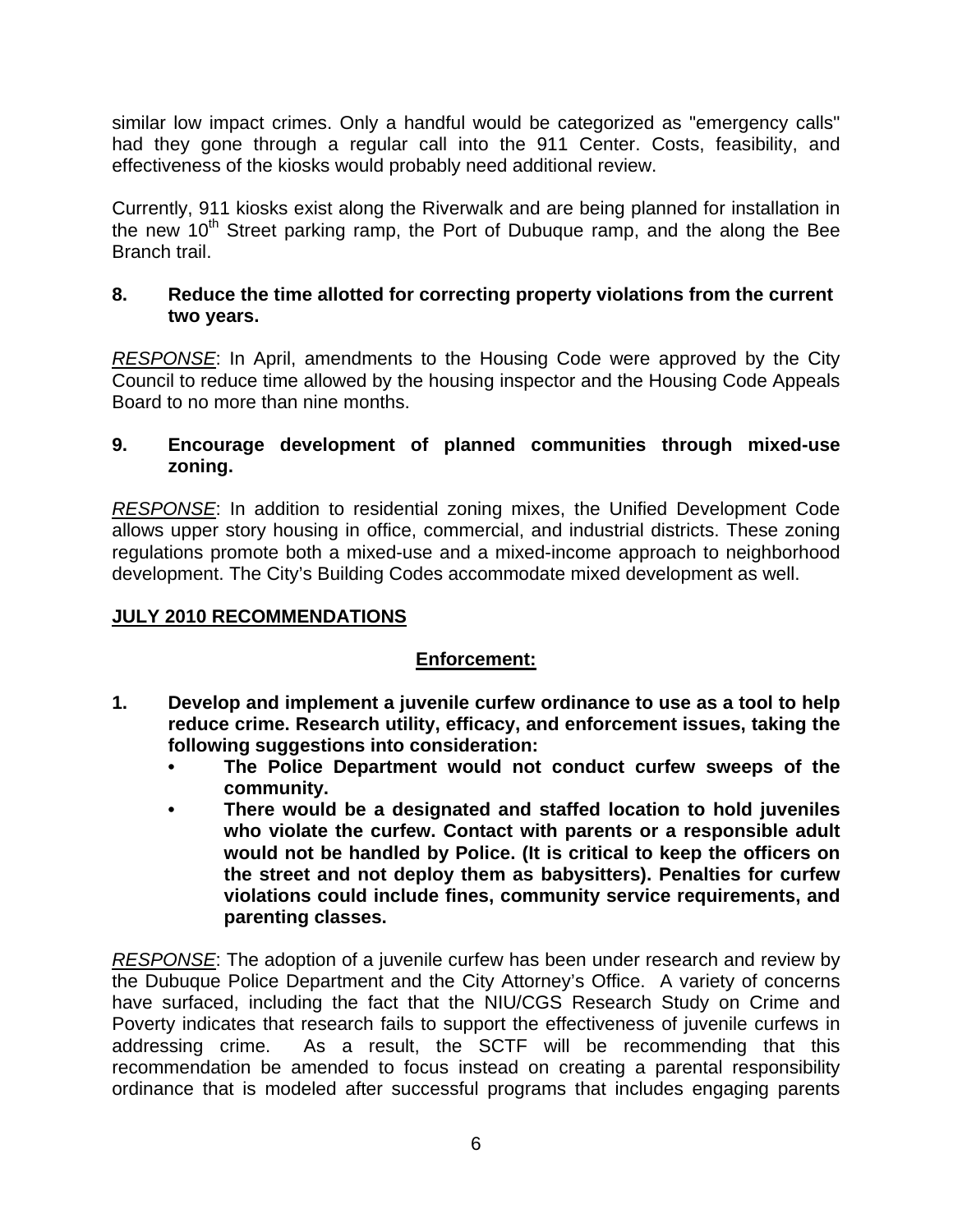similar low impact crimes. Only a handful would be categorized as "emergency calls" had they gone through a regular call into the 911 Center. Costs, feasibility, and effectiveness of the kiosks would probably need additional review.

Currently, 911 kiosks exist along the Riverwalk and are being planned for installation in the new  $10<sup>th</sup>$  Street parking ramp, the Port of Dubuque ramp, and the along the Bee Branch trail.

## **8. Reduce the time allotted for correcting property violations from the current two years.**

*RESPONSE*: In April, amendments to the Housing Code were approved by the City Council to reduce time allowed by the housing inspector and the Housing Code Appeals Board to no more than nine months.

## **9. Encourage development of planned communities through mixed-use zoning.**

*RESPONSE*: In addition to residential zoning mixes, the Unified Development Code allows upper story housing in office, commercial, and industrial districts. These zoning regulations promote both a mixed-use and a mixed-income approach to neighborhood development. The City's Building Codes accommodate mixed development as well.

## **JULY 2010 RECOMMENDATIONS**

## **Enforcement:**

- **1. Develop and implement a juvenile curfew ordinance to use as a tool to help reduce crime. Research utility, efficacy, and enforcement issues, taking the following suggestions into consideration:** 
	- **The Police Department would not conduct curfew sweeps of the community.**
	- **There would be a designated and staffed location to hold juveniles who violate the curfew. Contact with parents or a responsible adult would not be handled by Police. (It is critical to keep the officers on the street and not deploy them as babysitters). Penalties for curfew violations could include fines, community service requirements, and parenting classes.**

*RESPONSE*: The adoption of a juvenile curfew has been under research and review by the Dubuque Police Department and the City Attorney's Office. A variety of concerns have surfaced, including the fact that the NIU/CGS Research Study on Crime and Poverty indicates that research fails to support the effectiveness of juvenile curfews in addressing crime. As a result, the SCTF will be recommending that this recommendation be amended to focus instead on creating a parental responsibility ordinance that is modeled after successful programs that includes engaging parents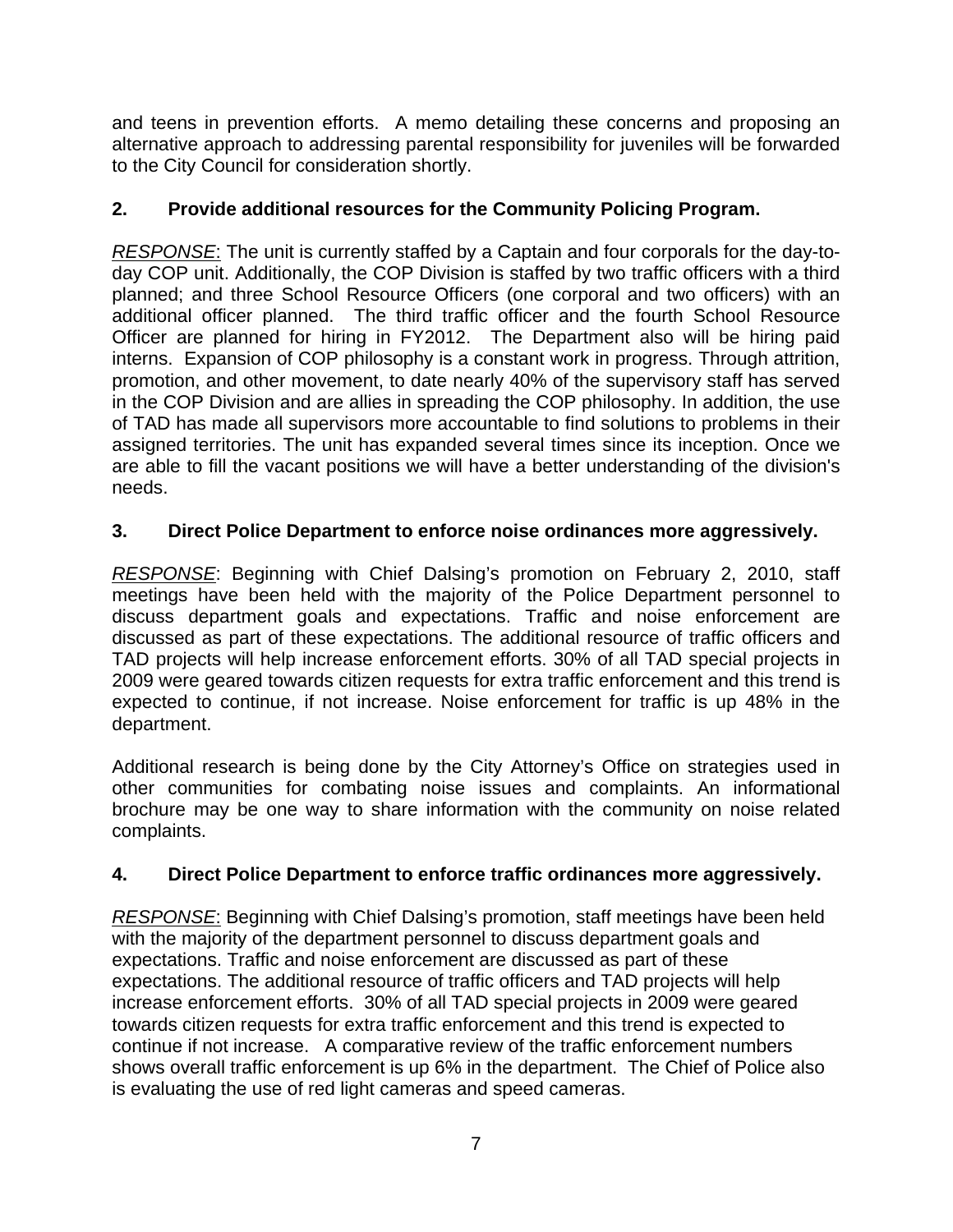and teens in prevention efforts. A memo detailing these concerns and proposing an alternative approach to addressing parental responsibility for juveniles will be forwarded to the City Council for consideration shortly.

# **2. Provide additional resources for the Community Policing Program.**

*RESPONSE*: The unit is currently staffed by a Captain and four corporals for the day-today COP unit. Additionally, the COP Division is staffed by two traffic officers with a third planned; and three School Resource Officers (one corporal and two officers) with an additional officer planned. The third traffic officer and the fourth School Resource Officer are planned for hiring in FY2012. The Department also will be hiring paid interns. Expansion of COP philosophy is a constant work in progress. Through attrition, promotion, and other movement, to date nearly 40% of the supervisory staff has served in the COP Division and are allies in spreading the COP philosophy. In addition, the use of TAD has made all supervisors more accountable to find solutions to problems in their assigned territories. The unit has expanded several times since its inception. Once we are able to fill the vacant positions we will have a better understanding of the division's needs.

# **3. Direct Police Department to enforce noise ordinances more aggressively.**

*RESPONSE*: Beginning with Chief Dalsing's promotion on February 2, 2010, staff meetings have been held with the majority of the Police Department personnel to discuss department goals and expectations. Traffic and noise enforcement are discussed as part of these expectations. The additional resource of traffic officers and TAD projects will help increase enforcement efforts. 30% of all TAD special projects in 2009 were geared towards citizen requests for extra traffic enforcement and this trend is expected to continue, if not increase. Noise enforcement for traffic is up 48% in the department.

Additional research is being done by the City Attorney's Office on strategies used in other communities for combating noise issues and complaints. An informational brochure may be one way to share information with the community on noise related complaints.

# **4. Direct Police Department to enforce traffic ordinances more aggressively.**

*RESPONSE*: Beginning with Chief Dalsing's promotion, staff meetings have been held with the majority of the department personnel to discuss department goals and expectations. Traffic and noise enforcement are discussed as part of these expectations. The additional resource of traffic officers and TAD projects will help increase enforcement efforts. 30% of all TAD special projects in 2009 were geared towards citizen requests for extra traffic enforcement and this trend is expected to continue if not increase. A comparative review of the traffic enforcement numbers shows overall traffic enforcement is up 6% in the department. The Chief of Police also is evaluating the use of red light cameras and speed cameras.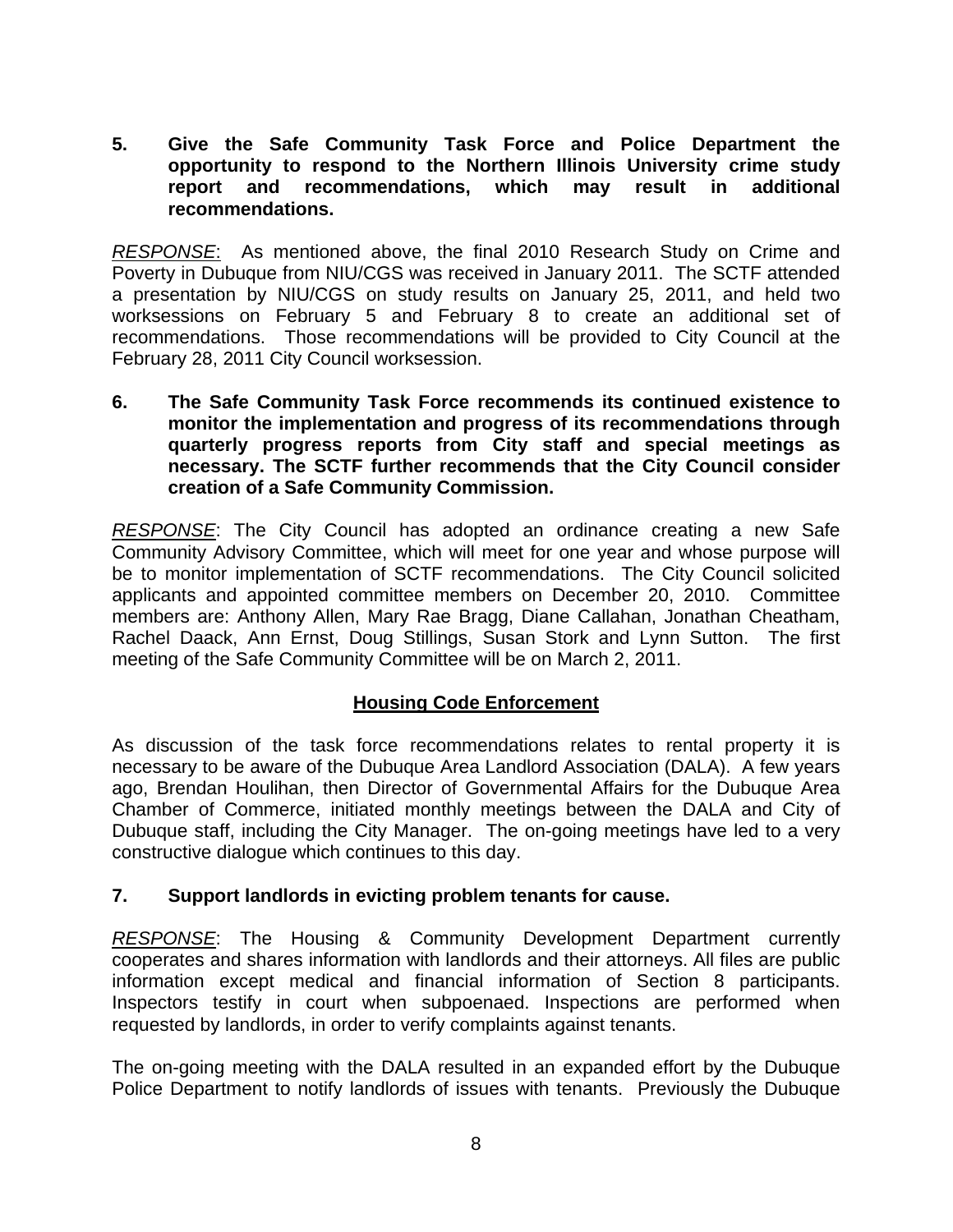#### **5. Give the Safe Community Task Force and Police Department the opportunity to respond to the Northern Illinois University crime study report and recommendations, which may result in additional recommendations.**

*RESPONSE*: As mentioned above, the final 2010 Research Study on Crime and Poverty in Dubuque from NIU/CGS was received in January 2011. The SCTF attended a presentation by NIU/CGS on study results on January 25, 2011, and held two worksessions on February 5 and February 8 to create an additional set of recommendations. Those recommendations will be provided to City Council at the February 28, 2011 City Council worksession.

**6. The Safe Community Task Force recommends its continued existence to monitor the implementation and progress of its recommendations through quarterly progress reports from City staff and special meetings as necessary. The SCTF further recommends that the City Council consider creation of a Safe Community Commission.** 

*RESPONSE*: The City Council has adopted an ordinance creating a new Safe Community Advisory Committee, which will meet for one year and whose purpose will be to monitor implementation of SCTF recommendations. The City Council solicited applicants and appointed committee members on December 20, 2010. Committee members are: Anthony Allen, Mary Rae Bragg, Diane Callahan, Jonathan Cheatham, Rachel Daack, Ann Ernst, Doug Stillings, Susan Stork and Lynn Sutton. The first meeting of the Safe Community Committee will be on March 2, 2011.

## **Housing Code Enforcement**

As discussion of the task force recommendations relates to rental property it is necessary to be aware of the Dubuque Area Landlord Association (DALA). A few years ago, Brendan Houlihan, then Director of Governmental Affairs for the Dubuque Area Chamber of Commerce, initiated monthly meetings between the DALA and City of Dubuque staff, including the City Manager. The on-going meetings have led to a very constructive dialogue which continues to this day.

## **7. Support landlords in evicting problem tenants for cause.**

*RESPONSE*: The Housing & Community Development Department currently cooperates and shares information with landlords and their attorneys. All files are public information except medical and financial information of Section 8 participants. Inspectors testify in court when subpoenaed. Inspections are performed when requested by landlords, in order to verify complaints against tenants.

The on-going meeting with the DALA resulted in an expanded effort by the Dubuque Police Department to notify landlords of issues with tenants. Previously the Dubuque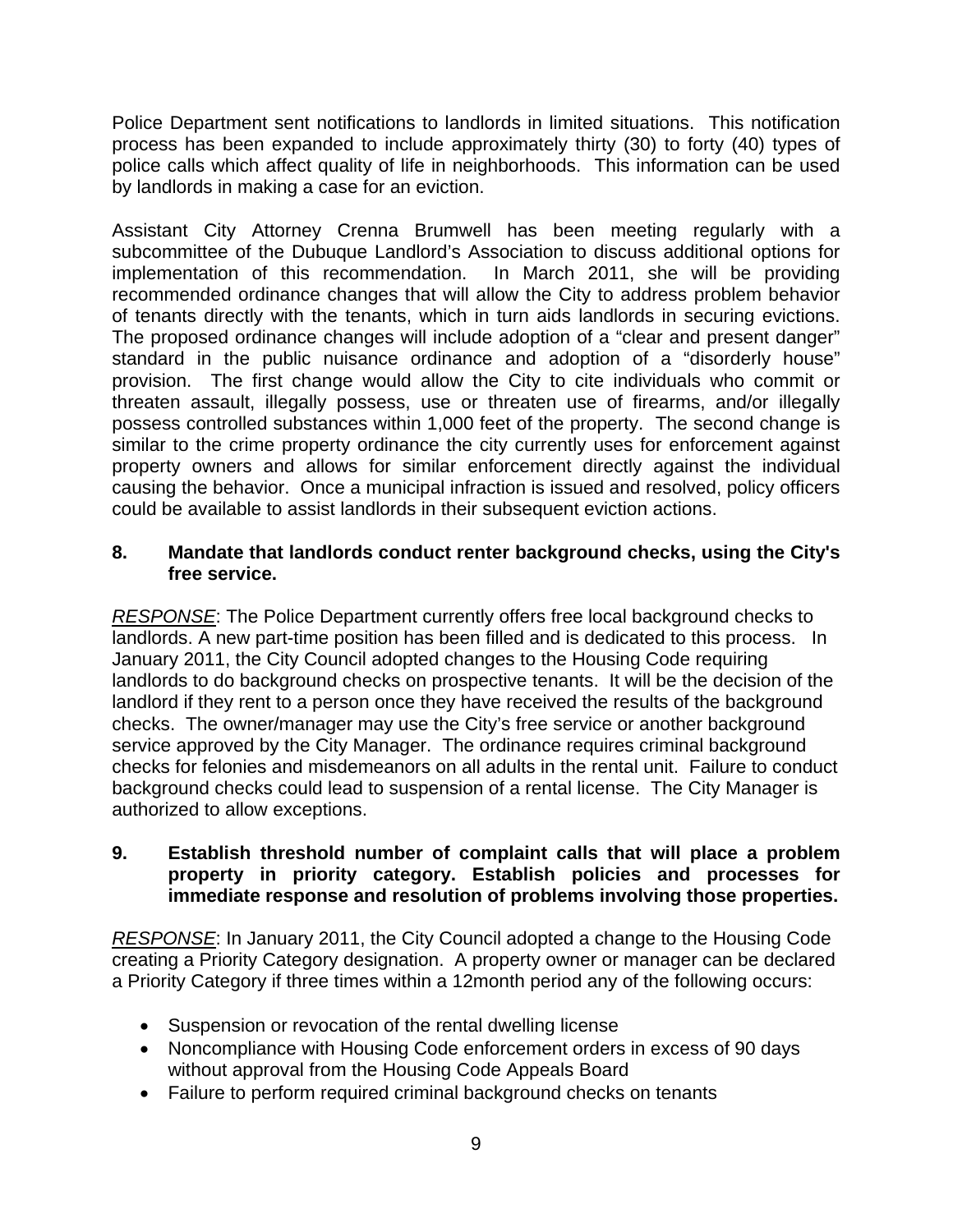Police Department sent notifications to landlords in limited situations. This notification process has been expanded to include approximately thirty (30) to forty (40) types of police calls which affect quality of life in neighborhoods. This information can be used by landlords in making a case for an eviction.

Assistant City Attorney Crenna Brumwell has been meeting regularly with a subcommittee of the Dubuque Landlord's Association to discuss additional options for implementation of this recommendation. In March 2011, she will be providing recommended ordinance changes that will allow the City to address problem behavior of tenants directly with the tenants, which in turn aids landlords in securing evictions. The proposed ordinance changes will include adoption of a "clear and present danger" standard in the public nuisance ordinance and adoption of a "disorderly house" provision. The first change would allow the City to cite individuals who commit or threaten assault, illegally possess, use or threaten use of firearms, and/or illegally possess controlled substances within 1,000 feet of the property. The second change is similar to the crime property ordinance the city currently uses for enforcement against property owners and allows for similar enforcement directly against the individual causing the behavior. Once a municipal infraction is issued and resolved, policy officers could be available to assist landlords in their subsequent eviction actions.

#### **8. Mandate that landlords conduct renter background checks, using the City's free service.**

*RESPONSE*: The Police Department currently offers free local background checks to landlords. A new part-time position has been filled and is dedicated to this process. In January 2011, the City Council adopted changes to the Housing Code requiring landlords to do background checks on prospective tenants. It will be the decision of the landlord if they rent to a person once they have received the results of the background checks. The owner/manager may use the City's free service or another background service approved by the City Manager. The ordinance requires criminal background checks for felonies and misdemeanors on all adults in the rental unit. Failure to conduct background checks could lead to suspension of a rental license. The City Manager is authorized to allow exceptions.

## **9. Establish threshold number of complaint calls that will place a problem property in priority category. Establish policies and processes for immediate response and resolution of problems involving those properties.**

*RESPONSE*: In January 2011, the City Council adopted a change to the Housing Code creating a Priority Category designation. A property owner or manager can be declared a Priority Category if three times within a 12month period any of the following occurs:

- Suspension or revocation of the rental dwelling license
- Noncompliance with Housing Code enforcement orders in excess of 90 days without approval from the Housing Code Appeals Board
- Failure to perform required criminal background checks on tenants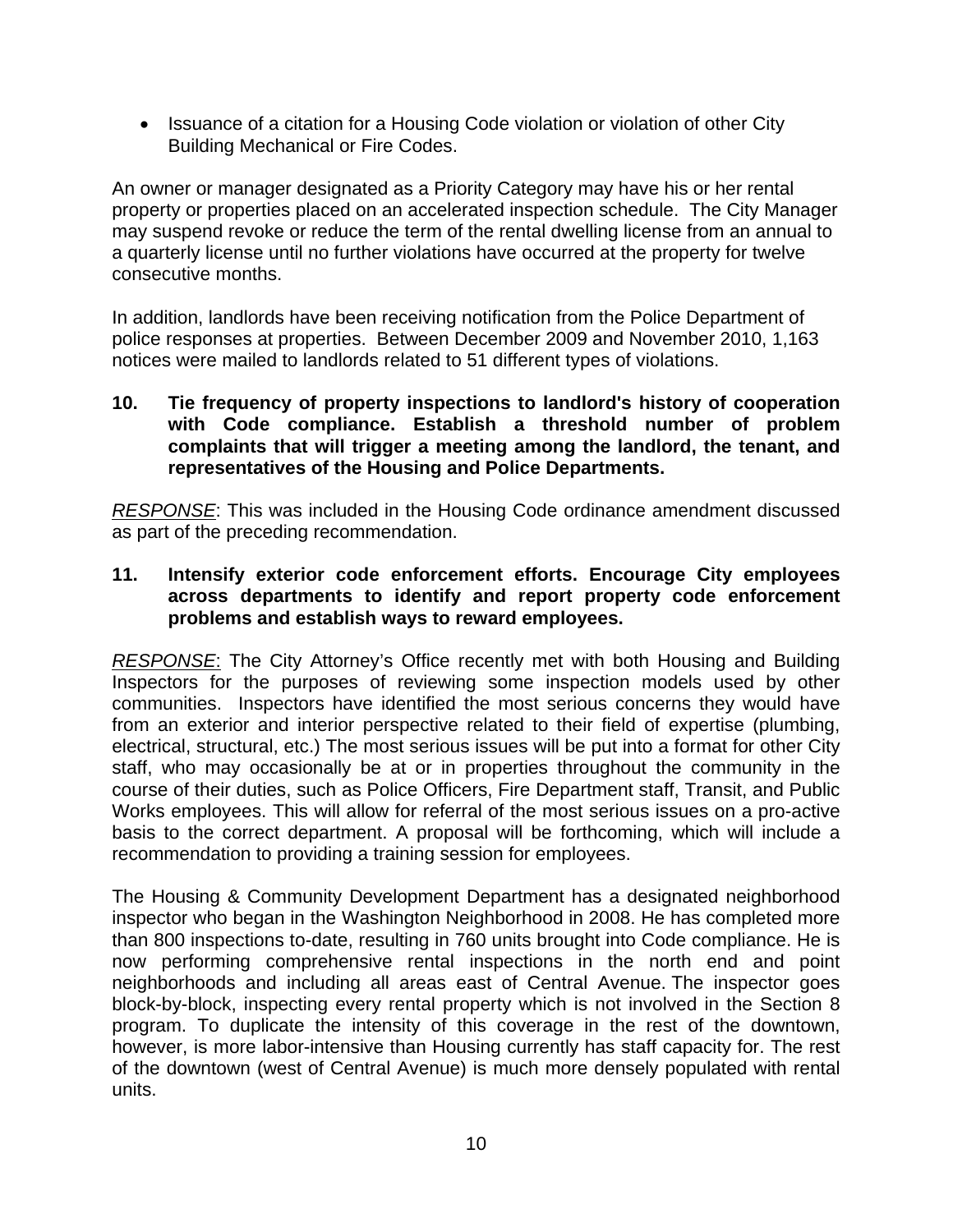• Issuance of a citation for a Housing Code violation or violation of other City Building Mechanical or Fire Codes.

An owner or manager designated as a Priority Category may have his or her rental property or properties placed on an accelerated inspection schedule. The City Manager may suspend revoke or reduce the term of the rental dwelling license from an annual to a quarterly license until no further violations have occurred at the property for twelve consecutive months.

In addition, landlords have been receiving notification from the Police Department of police responses at properties. Between December 2009 and November 2010, 1,163 notices were mailed to landlords related to 51 different types of violations.

#### **10. Tie frequency of property inspections to landlord's history of cooperation with Code compliance. Establish a threshold number of problem complaints that will trigger a meeting among the landlord, the tenant, and representatives of the Housing and Police Departments.**

*RESPONSE*: This was included in the Housing Code ordinance amendment discussed as part of the preceding recommendation.

#### **11. Intensify exterior code enforcement efforts. Encourage City employees across departments to identify and report property code enforcement problems and establish ways to reward employees.**

*RESPONSE*: The City Attorney's Office recently met with both Housing and Building Inspectors for the purposes of reviewing some inspection models used by other communities. Inspectors have identified the most serious concerns they would have from an exterior and interior perspective related to their field of expertise (plumbing, electrical, structural, etc.) The most serious issues will be put into a format for other City staff, who may occasionally be at or in properties throughout the community in the course of their duties, such as Police Officers, Fire Department staff, Transit, and Public Works employees. This will allow for referral of the most serious issues on a pro-active basis to the correct department. A proposal will be forthcoming, which will include a recommendation to providing a training session for employees.

The Housing & Community Development Department has a designated neighborhood inspector who began in the Washington Neighborhood in 2008. He has completed more than 800 inspections to-date, resulting in 760 units brought into Code compliance. He is now performing comprehensive rental inspections in the north end and point neighborhoods and including all areas east of Central Avenue. The inspector goes block-by-block, inspecting every rental property which is not involved in the Section 8 program. To duplicate the intensity of this coverage in the rest of the downtown, however, is more labor-intensive than Housing currently has staff capacity for. The rest of the downtown (west of Central Avenue) is much more densely populated with rental units.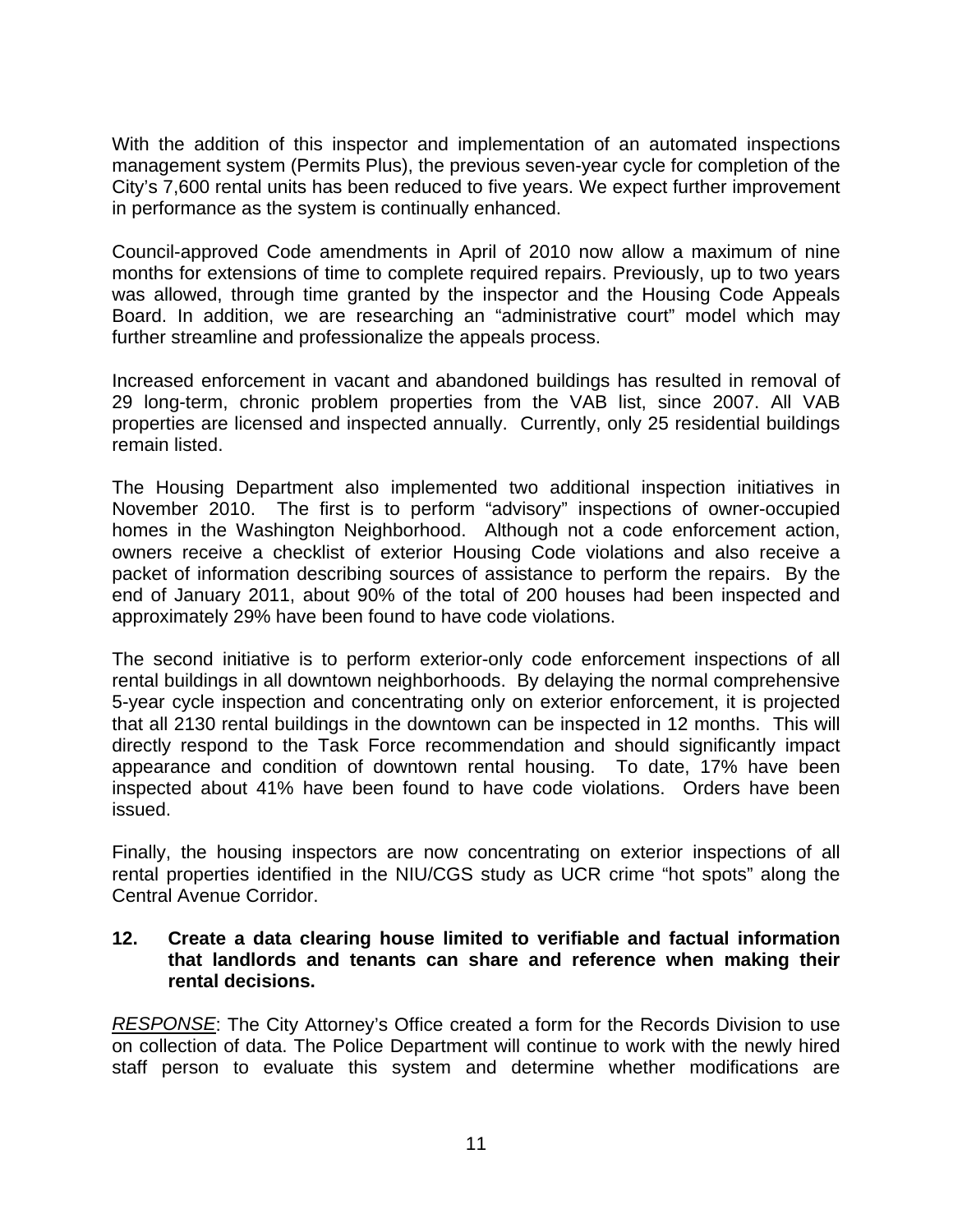With the addition of this inspector and implementation of an automated inspections management system (Permits Plus), the previous seven-year cycle for completion of the City's 7,600 rental units has been reduced to five years. We expect further improvement in performance as the system is continually enhanced.

Council-approved Code amendments in April of 2010 now allow a maximum of nine months for extensions of time to complete required repairs. Previously, up to two years was allowed, through time granted by the inspector and the Housing Code Appeals Board. In addition, we are researching an "administrative court" model which may further streamline and professionalize the appeals process.

Increased enforcement in vacant and abandoned buildings has resulted in removal of 29 long-term, chronic problem properties from the VAB list, since 2007. All VAB properties are licensed and inspected annually. Currently, only 25 residential buildings remain listed.

The Housing Department also implemented two additional inspection initiatives in November 2010. The first is to perform "advisory" inspections of owner-occupied homes in the Washington Neighborhood. Although not a code enforcement action, owners receive a checklist of exterior Housing Code violations and also receive a packet of information describing sources of assistance to perform the repairs. By the end of January 2011, about 90% of the total of 200 houses had been inspected and approximately 29% have been found to have code violations.

The second initiative is to perform exterior-only code enforcement inspections of all rental buildings in all downtown neighborhoods. By delaying the normal comprehensive 5-year cycle inspection and concentrating only on exterior enforcement, it is projected that all 2130 rental buildings in the downtown can be inspected in 12 months. This will directly respond to the Task Force recommendation and should significantly impact appearance and condition of downtown rental housing. To date, 17% have been inspected about 41% have been found to have code violations. Orders have been issued.

Finally, the housing inspectors are now concentrating on exterior inspections of all rental properties identified in the NIU/CGS study as UCR crime "hot spots" along the Central Avenue Corridor.

#### **12. Create a data clearing house limited to verifiable and factual information that landlords and tenants can share and reference when making their rental decisions.**

*RESPONSE*: The City Attorney's Office created a form for the Records Division to use on collection of data. The Police Department will continue to work with the newly hired staff person to evaluate this system and determine whether modifications are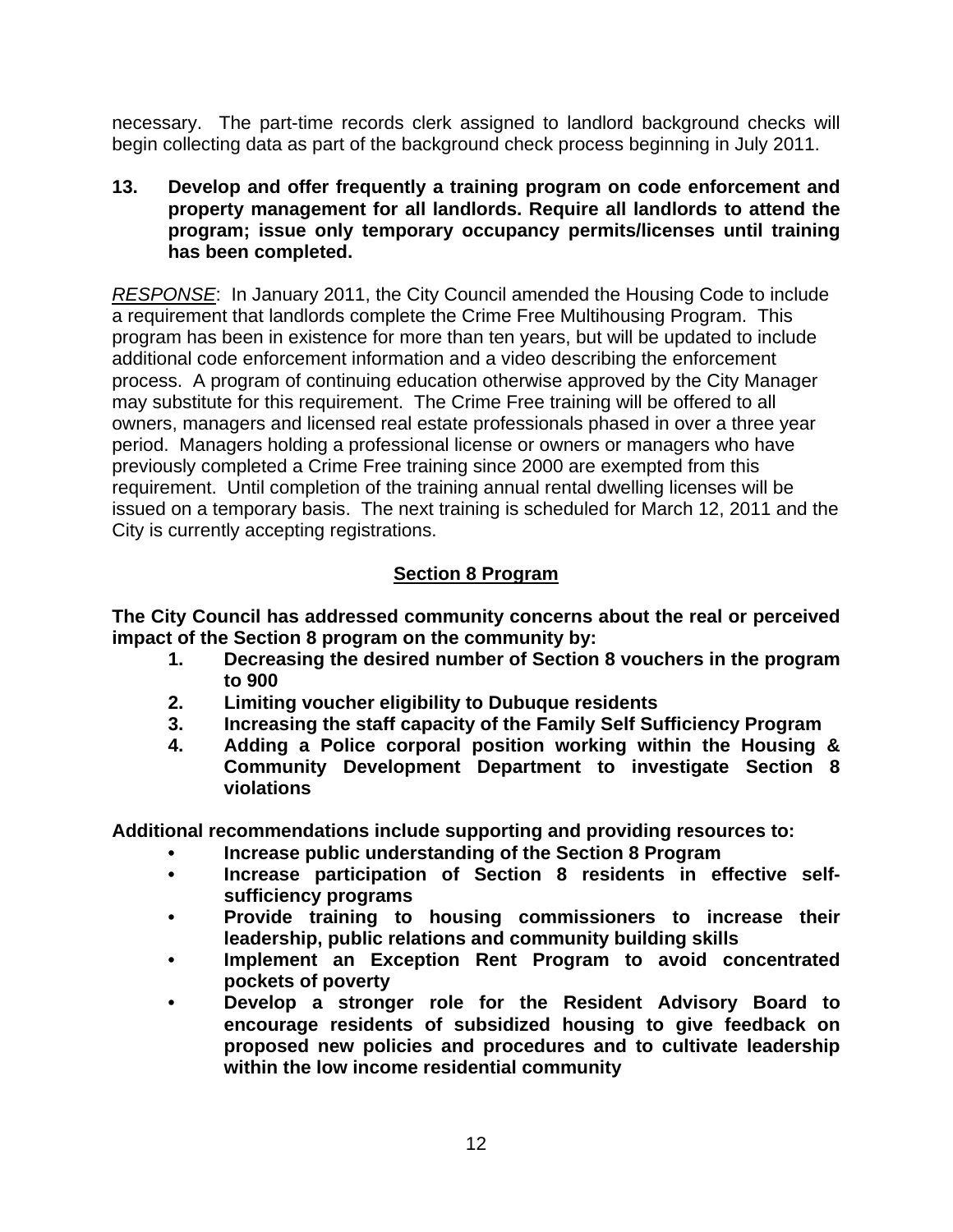necessary. The part-time records clerk assigned to landlord background checks will begin collecting data as part of the background check process beginning in July 2011.

**13. Develop and offer frequently a training program on code enforcement and property management for all landlords. Require all landlords to attend the program; issue only temporary occupancy permits/licenses until training has been completed.** 

*RESPONSE*: In January 2011, the City Council amended the Housing Code to include a requirement that landlords complete the Crime Free Multihousing Program. This program has been in existence for more than ten years, but will be updated to include additional code enforcement information and a video describing the enforcement process. A program of continuing education otherwise approved by the City Manager may substitute for this requirement. The Crime Free training will be offered to all owners, managers and licensed real estate professionals phased in over a three year period. Managers holding a professional license or owners or managers who have previously completed a Crime Free training since 2000 are exempted from this requirement. Until completion of the training annual rental dwelling licenses will be issued on a temporary basis. The next training is scheduled for March 12, 2011 and the City is currently accepting registrations.

# **Section 8 Program**

**The City Council has addressed community concerns about the real or perceived impact of the Section 8 program on the community by:** 

- **1. Decreasing the desired number of Section 8 vouchers in the program to 900**
- **2. Limiting voucher eligibility to Dubuque residents**
- **3. Increasing the staff capacity of the Family Self Sufficiency Program**
- **4. Adding a Police corporal position working within the Housing & Community Development Department to investigate Section 8 violations**

**Additional recommendations include supporting and providing resources to:** 

- **Increase public understanding of the Section 8 Program**
- **Increase participation of Section 8 residents in effective selfsufficiency programs**
- **Provide training to housing commissioners to increase their leadership, public relations and community building skills**
- **Implement an Exception Rent Program to avoid concentrated pockets of poverty**
- **Develop a stronger role for the Resident Advisory Board to encourage residents of subsidized housing to give feedback on proposed new policies and procedures and to cultivate leadership within the low income residential community**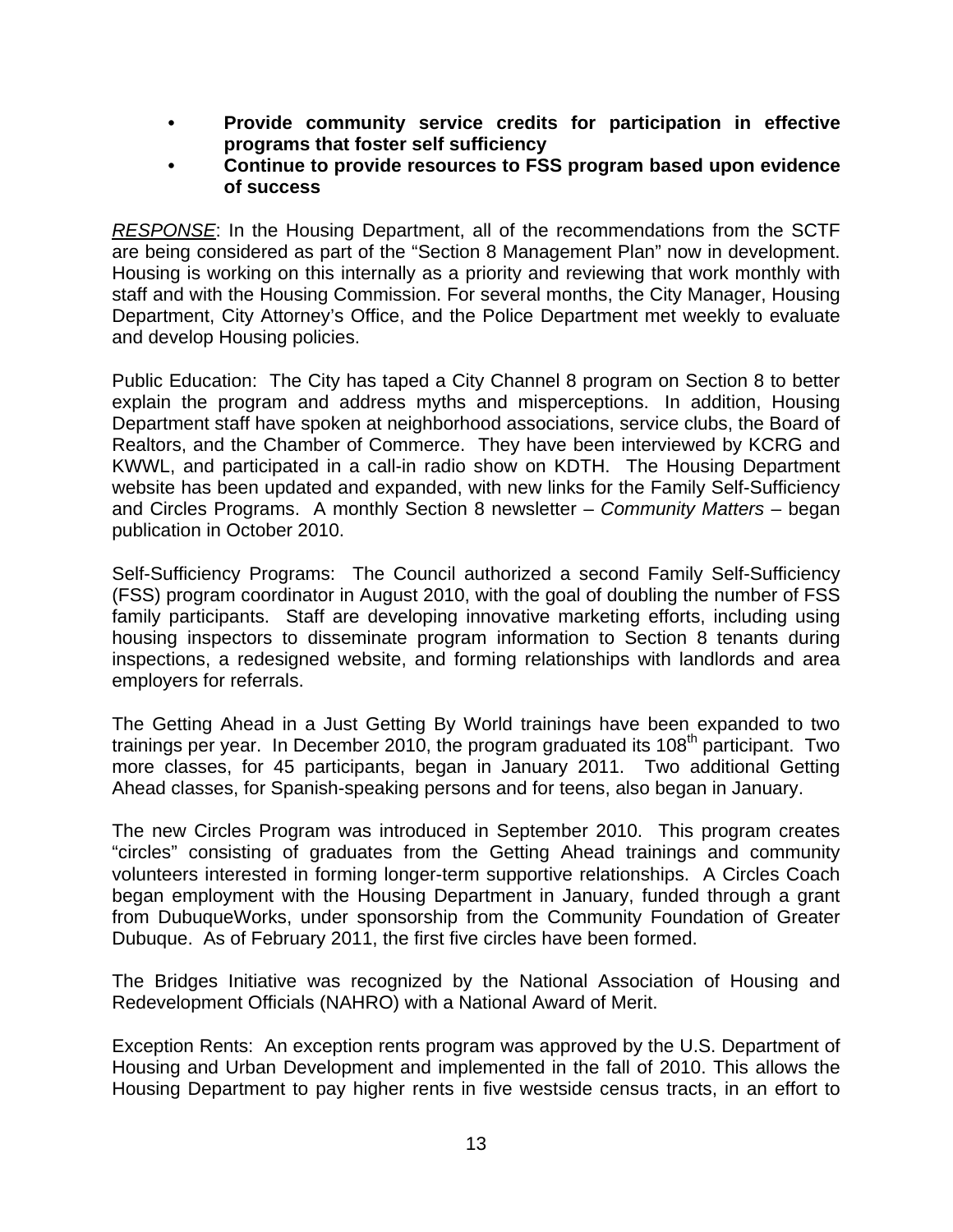- **Provide community service credits for participation in effective programs that foster self sufficiency**
- **Continue to provide resources to FSS program based upon evidence of success**

*RESPONSE*: In the Housing Department, all of the recommendations from the SCTF are being considered as part of the "Section 8 Management Plan" now in development. Housing is working on this internally as a priority and reviewing that work monthly with staff and with the Housing Commission. For several months, the City Manager, Housing Department, City Attorney's Office, and the Police Department met weekly to evaluate and develop Housing policies.

Public Education: The City has taped a City Channel 8 program on Section 8 to better explain the program and address myths and misperceptions. In addition, Housing Department staff have spoken at neighborhood associations, service clubs, the Board of Realtors, and the Chamber of Commerce. They have been interviewed by KCRG and KWWL, and participated in a call-in radio show on KDTH. The Housing Department website has been updated and expanded, with new links for the Family Self-Sufficiency and Circles Programs. A monthly Section 8 newsletter – *Community Matters* – began publication in October 2010.

Self-Sufficiency Programs: The Council authorized a second Family Self-Sufficiency (FSS) program coordinator in August 2010, with the goal of doubling the number of FSS family participants. Staff are developing innovative marketing efforts, including using housing inspectors to disseminate program information to Section 8 tenants during inspections, a redesigned website, and forming relationships with landlords and area employers for referrals.

The Getting Ahead in a Just Getting By World trainings have been expanded to two trainings per year. In December 2010, the program graduated its  $108<sup>th</sup>$  participant. Two more classes, for 45 participants, began in January 2011. Two additional Getting Ahead classes, for Spanish-speaking persons and for teens, also began in January.

The new Circles Program was introduced in September 2010. This program creates "circles" consisting of graduates from the Getting Ahead trainings and community volunteers interested in forming longer-term supportive relationships. A Circles Coach began employment with the Housing Department in January, funded through a grant from DubuqueWorks, under sponsorship from the Community Foundation of Greater Dubuque. As of February 2011, the first five circles have been formed.

The Bridges Initiative was recognized by the National Association of Housing and Redevelopment Officials (NAHRO) with a National Award of Merit.

Exception Rents: An exception rents program was approved by the U.S. Department of Housing and Urban Development and implemented in the fall of 2010. This allows the Housing Department to pay higher rents in five westside census tracts, in an effort to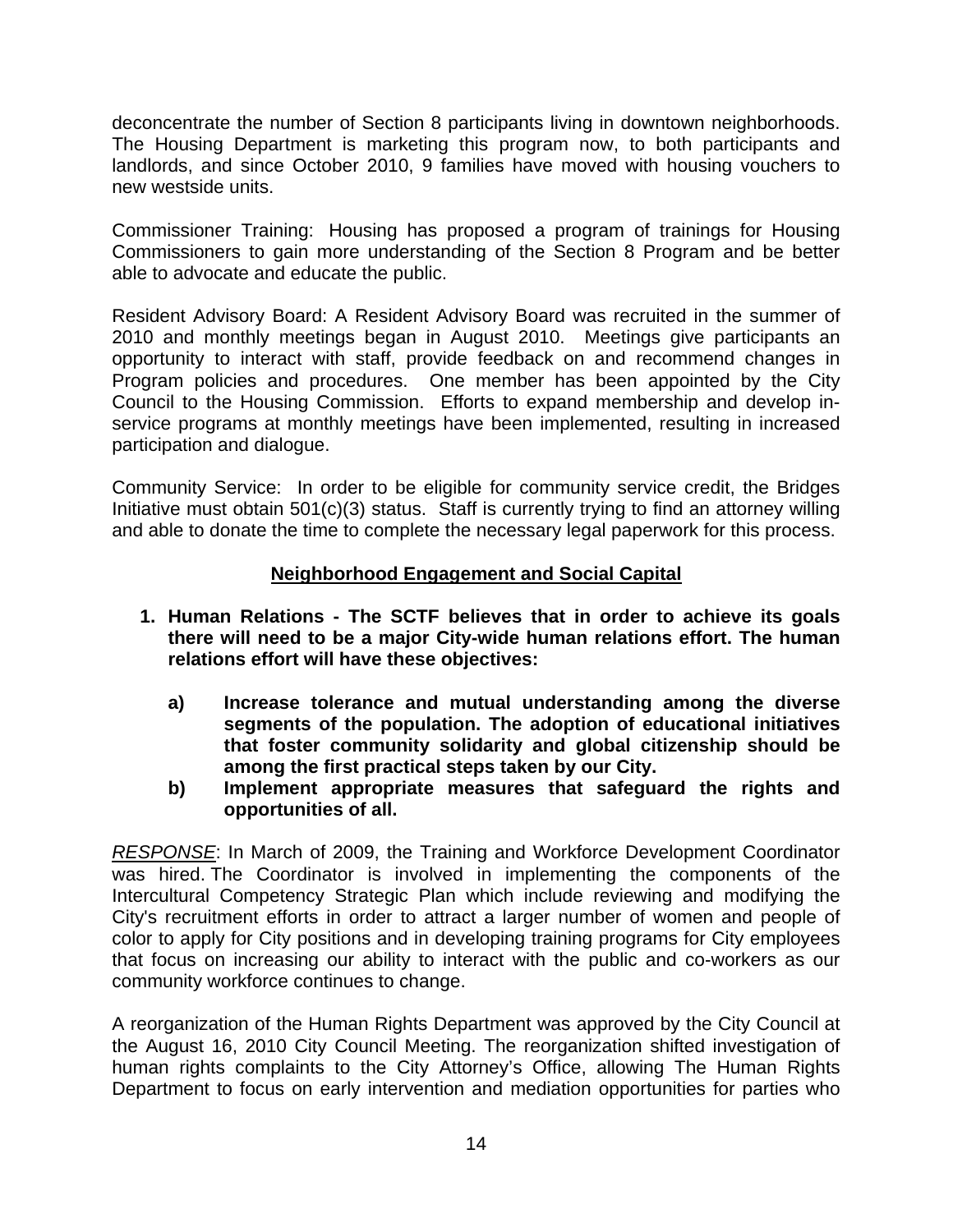deconcentrate the number of Section 8 participants living in downtown neighborhoods. The Housing Department is marketing this program now, to both participants and landlords, and since October 2010, 9 families have moved with housing vouchers to new westside units.

Commissioner Training: Housing has proposed a program of trainings for Housing Commissioners to gain more understanding of the Section 8 Program and be better able to advocate and educate the public.

Resident Advisory Board: A Resident Advisory Board was recruited in the summer of 2010 and monthly meetings began in August 2010. Meetings give participants an opportunity to interact with staff, provide feedback on and recommend changes in Program policies and procedures. One member has been appointed by the City Council to the Housing Commission. Efforts to expand membership and develop inservice programs at monthly meetings have been implemented, resulting in increased participation and dialogue.

Community Service: In order to be eligible for community service credit, the Bridges Initiative must obtain 501(c)(3) status. Staff is currently trying to find an attorney willing and able to donate the time to complete the necessary legal paperwork for this process.

## **Neighborhood Engagement and Social Capital**

- **1. Human Relations The SCTF believes that in order to achieve its goals there will need to be a major City-wide human relations effort. The human relations effort will have these objectives:** 
	- **a) Increase tolerance and mutual understanding among the diverse segments of the population. The adoption of educational initiatives that foster community solidarity and global citizenship should be among the first practical steps taken by our City.**
	- **b) Implement appropriate measures that safeguard the rights and opportunities of all.**

*RESPONSE*: In March of 2009, the Training and Workforce Development Coordinator was hired. The Coordinator is involved in implementing the components of the Intercultural Competency Strategic Plan which include reviewing and modifying the City's recruitment efforts in order to attract a larger number of women and people of color to apply for City positions and in developing training programs for City employees that focus on increasing our ability to interact with the public and co-workers as our community workforce continues to change.

A reorganization of the Human Rights Department was approved by the City Council at the August 16, 2010 City Council Meeting. The reorganization shifted investigation of human rights complaints to the City Attorney's Office, allowing The Human Rights Department to focus on early intervention and mediation opportunities for parties who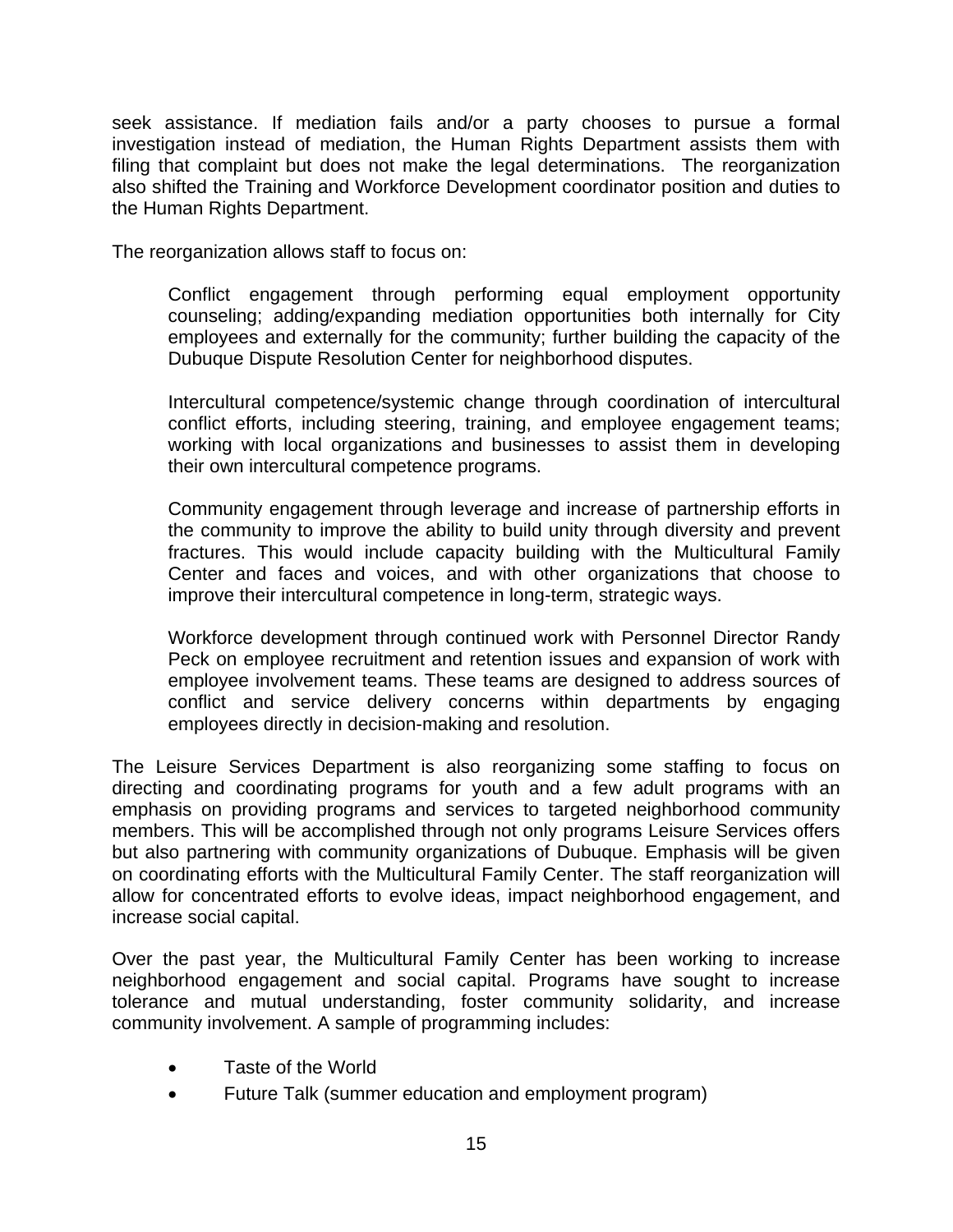seek assistance. If mediation fails and/or a party chooses to pursue a formal investigation instead of mediation, the Human Rights Department assists them with filing that complaint but does not make the legal determinations. The reorganization also shifted the Training and Workforce Development coordinator position and duties to the Human Rights Department.

The reorganization allows staff to focus on:

Conflict engagement through performing equal employment opportunity counseling; adding/expanding mediation opportunities both internally for City employees and externally for the community; further building the capacity of the Dubuque Dispute Resolution Center for neighborhood disputes.

Intercultural competence/systemic change through coordination of intercultural conflict efforts, including steering, training, and employee engagement teams; working with local organizations and businesses to assist them in developing their own intercultural competence programs.

Community engagement through leverage and increase of partnership efforts in the community to improve the ability to build unity through diversity and prevent fractures. This would include capacity building with the Multicultural Family Center and faces and voices, and with other organizations that choose to improve their intercultural competence in long-term, strategic ways.

Workforce development through continued work with Personnel Director Randy Peck on employee recruitment and retention issues and expansion of work with employee involvement teams. These teams are designed to address sources of conflict and service delivery concerns within departments by engaging employees directly in decision-making and resolution.

The Leisure Services Department is also reorganizing some staffing to focus on directing and coordinating programs for youth and a few adult programs with an emphasis on providing programs and services to targeted neighborhood community members. This will be accomplished through not only programs Leisure Services offers but also partnering with community organizations of Dubuque. Emphasis will be given on coordinating efforts with the Multicultural Family Center. The staff reorganization will allow for concentrated efforts to evolve ideas, impact neighborhood engagement, and increase social capital.

Over the past year, the Multicultural Family Center has been working to increase neighborhood engagement and social capital. Programs have sought to increase tolerance and mutual understanding, foster community solidarity, and increase community involvement. A sample of programming includes:

- Taste of the World
- Future Talk (summer education and employment program)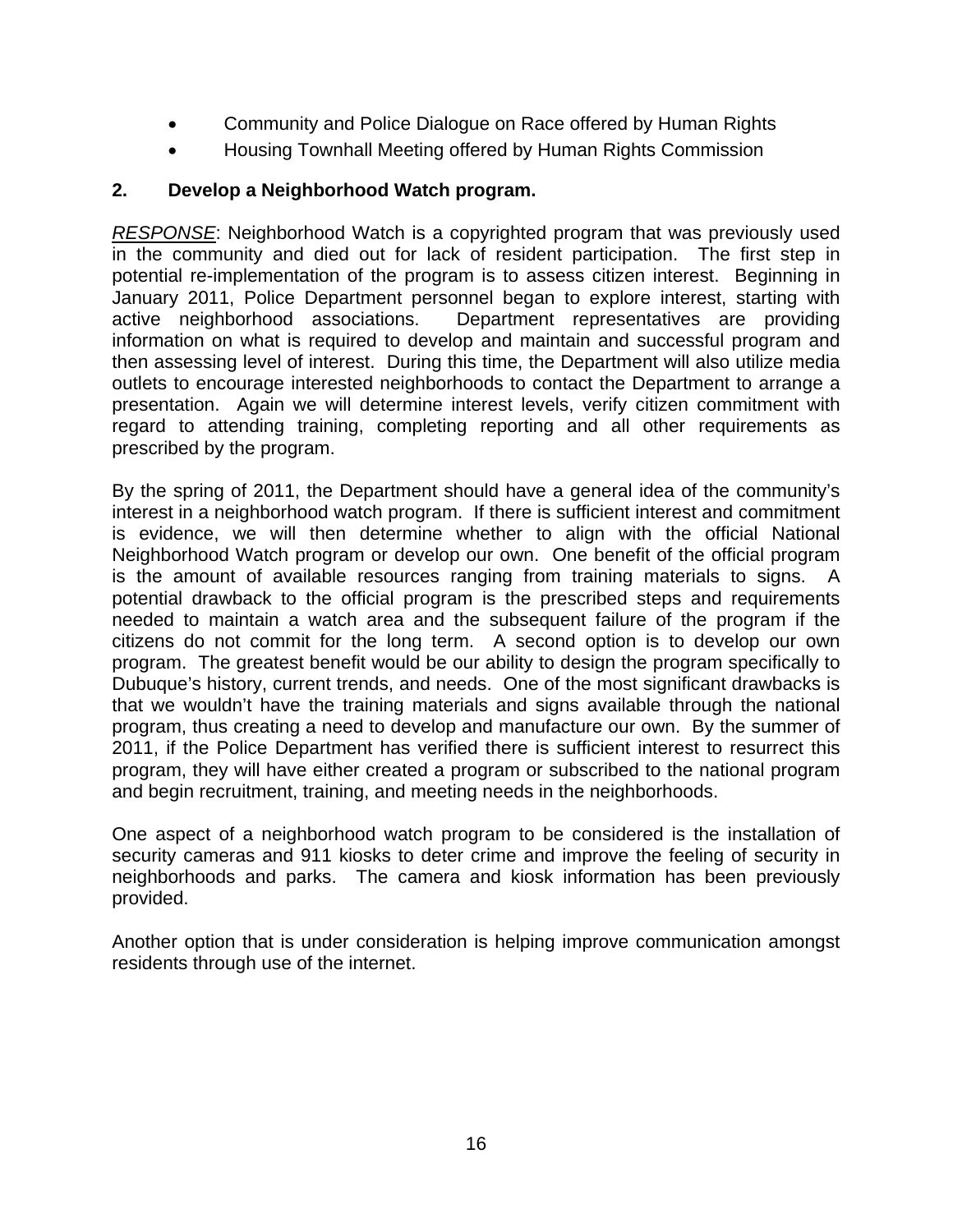- Community and Police Dialogue on Race offered by Human Rights
- Housing Townhall Meeting offered by Human Rights Commission

## **2. Develop a Neighborhood Watch program.**

*RESPONSE*: Neighborhood Watch is a copyrighted program that was previously used in the community and died out for lack of resident participation. The first step in potential re-implementation of the program is to assess citizen interest. Beginning in January 2011, Police Department personnel began to explore interest, starting with active neighborhood associations. Department representatives are providing information on what is required to develop and maintain and successful program and then assessing level of interest. During this time, the Department will also utilize media outlets to encourage interested neighborhoods to contact the Department to arrange a presentation. Again we will determine interest levels, verify citizen commitment with regard to attending training, completing reporting and all other requirements as prescribed by the program.

By the spring of 2011, the Department should have a general idea of the community's interest in a neighborhood watch program. If there is sufficient interest and commitment is evidence, we will then determine whether to align with the official National Neighborhood Watch program or develop our own. One benefit of the official program is the amount of available resources ranging from training materials to signs. A potential drawback to the official program is the prescribed steps and requirements needed to maintain a watch area and the subsequent failure of the program if the citizens do not commit for the long term. A second option is to develop our own program. The greatest benefit would be our ability to design the program specifically to Dubuque's history, current trends, and needs. One of the most significant drawbacks is that we wouldn't have the training materials and signs available through the national program, thus creating a need to develop and manufacture our own. By the summer of 2011, if the Police Department has verified there is sufficient interest to resurrect this program, they will have either created a program or subscribed to the national program and begin recruitment, training, and meeting needs in the neighborhoods.

One aspect of a neighborhood watch program to be considered is the installation of security cameras and 911 kiosks to deter crime and improve the feeling of security in neighborhoods and parks. The camera and kiosk information has been previously provided.

Another option that is under consideration is helping improve communication amongst residents through use of the internet.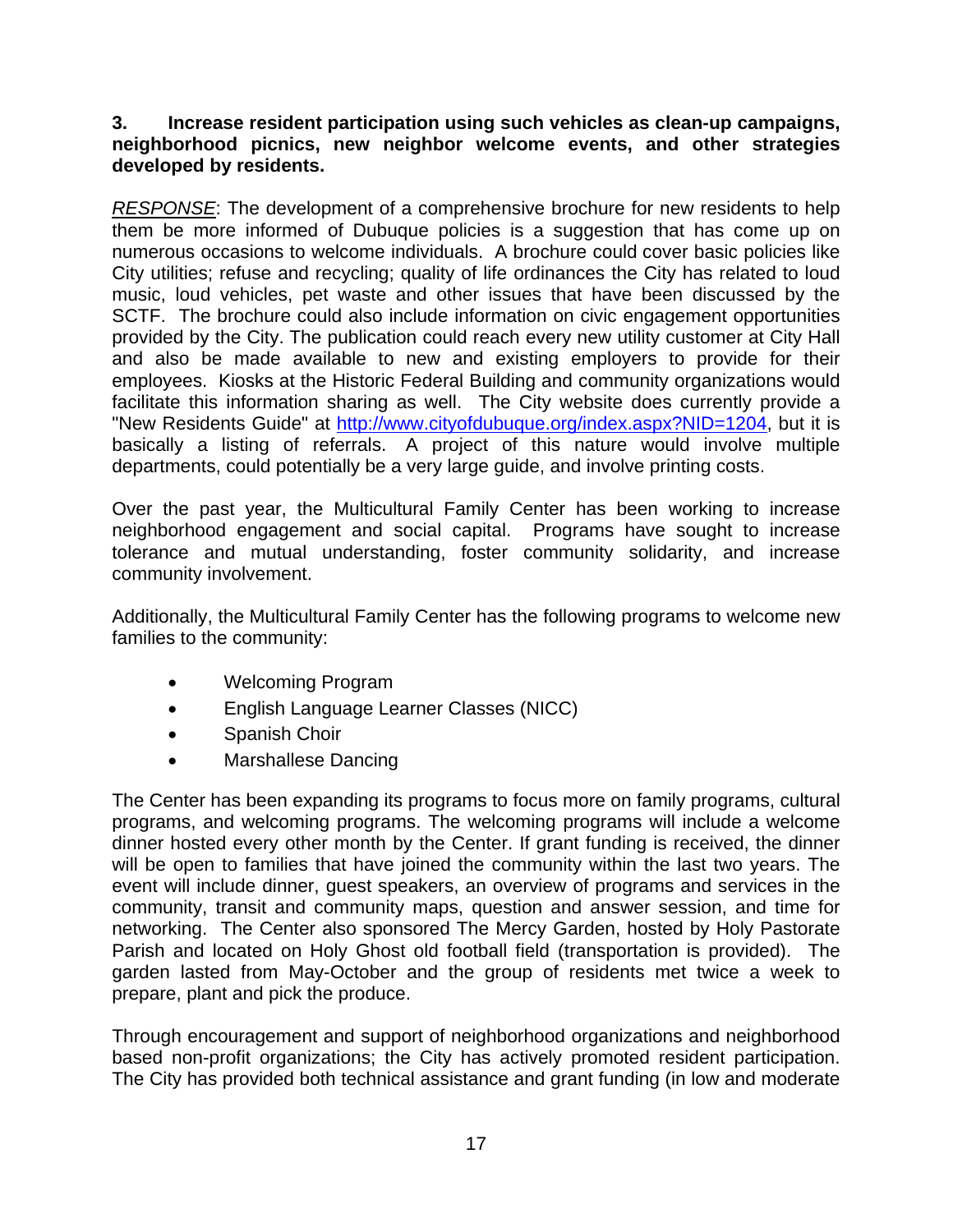#### **3. Increase resident participation using such vehicles as clean-up campaigns, neighborhood picnics, new neighbor welcome events, and other strategies developed by residents.**

*RESPONSE*: The development of a comprehensive brochure for new residents to help them be more informed of Dubuque policies is a suggestion that has come up on numerous occasions to welcome individuals. A brochure could cover basic policies like City utilities; refuse and recycling; quality of life ordinances the City has related to loud music, loud vehicles, pet waste and other issues that have been discussed by the SCTF. The brochure could also include information on civic engagement opportunities provided by the City. The publication could reach every new utility customer at City Hall and also be made available to new and existing employers to provide for their employees. Kiosks at the Historic Federal Building and community organizations would facilitate this information sharing as well. The City website does currently provide a "New Residents Guide" at http://www.cityofdubuque.org/index.aspx?NID=1204, but it is basically a listing of referrals. A project of this nature would involve multiple departments, could potentially be a very large guide, and involve printing costs.

Over the past year, the Multicultural Family Center has been working to increase neighborhood engagement and social capital. Programs have sought to increase tolerance and mutual understanding, foster community solidarity, and increase community involvement.

Additionally, the Multicultural Family Center has the following programs to welcome new families to the community:

- Welcoming Program
- English Language Learner Classes (NICC)
- Spanish Choir
- Marshallese Dancing

The Center has been expanding its programs to focus more on family programs, cultural programs, and welcoming programs. The welcoming programs will include a welcome dinner hosted every other month by the Center. If grant funding is received, the dinner will be open to families that have joined the community within the last two years. The event will include dinner, guest speakers, an overview of programs and services in the community, transit and community maps, question and answer session, and time for networking. The Center also sponsored The Mercy Garden, hosted by Holy Pastorate Parish and located on Holy Ghost old football field (transportation is provided). The garden lasted from May-October and the group of residents met twice a week to prepare, plant and pick the produce.

Through encouragement and support of neighborhood organizations and neighborhood based non-profit organizations; the City has actively promoted resident participation. The City has provided both technical assistance and grant funding (in low and moderate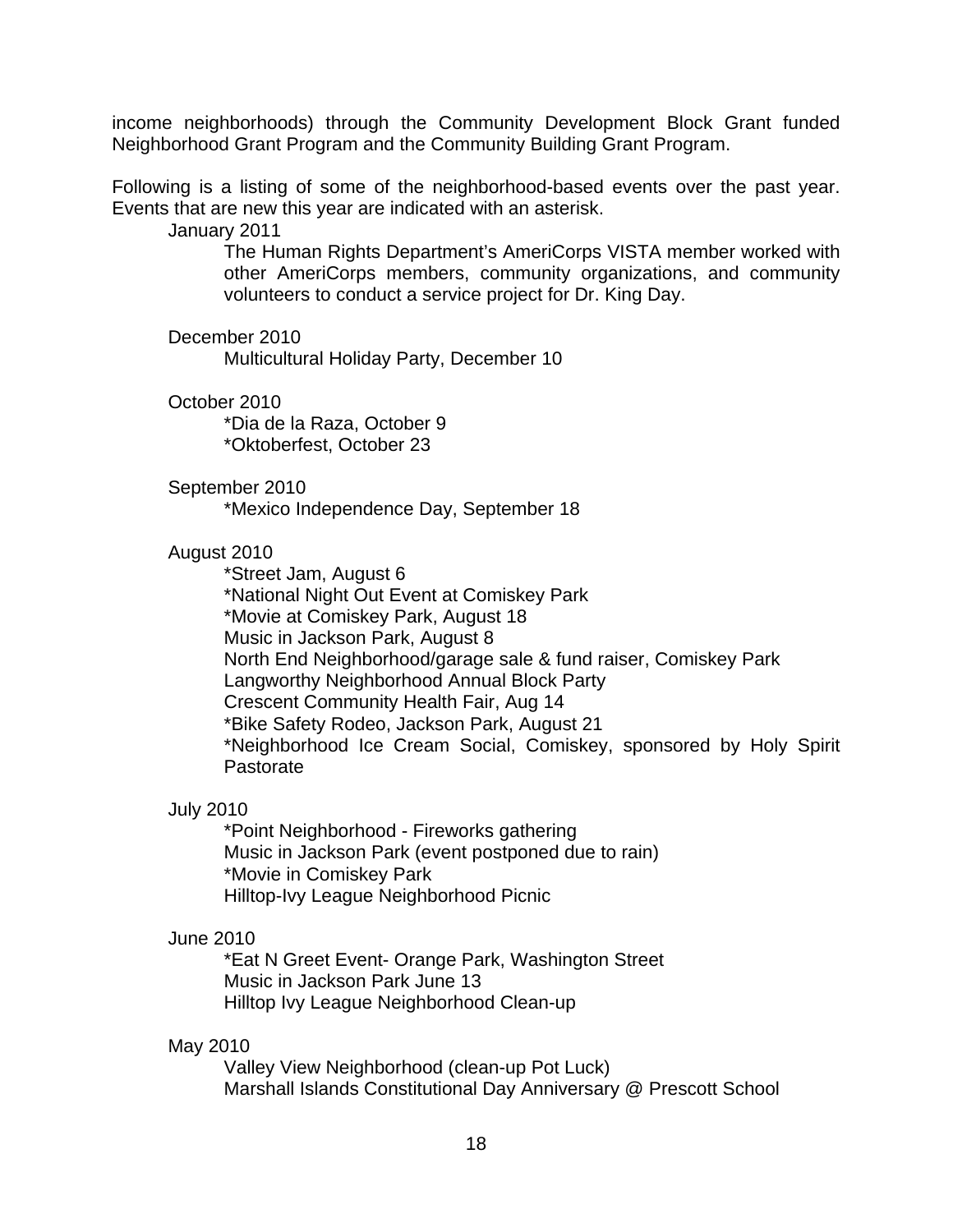income neighborhoods) through the Community Development Block Grant funded Neighborhood Grant Program and the Community Building Grant Program.

Following is a listing of some of the neighborhood-based events over the past year. Events that are new this year are indicated with an asterisk.

January 2011

The Human Rights Department's AmeriCorps VISTA member worked with other AmeriCorps members, community organizations, and community volunteers to conduct a service project for Dr. King Day.

December 2010

Multicultural Holiday Party, December 10

October 2010

\*Dia de la Raza, October 9 \*Oktoberfest, October 23

#### September 2010

\*Mexico Independence Day, September 18

#### August 2010

\*Street Jam, August 6 \*National Night Out Event at Comiskey Park \*Movie at Comiskey Park, August 18 Music in Jackson Park, August 8 North End Neighborhood/garage sale & fund raiser, Comiskey Park Langworthy Neighborhood Annual Block Party Crescent Community Health Fair, Aug 14 \*Bike Safety Rodeo, Jackson Park, August 21 \*Neighborhood Ice Cream Social, Comiskey, sponsored by Holy Spirit Pastorate

#### July 2010

\*Point Neighborhood - Fireworks gathering Music in Jackson Park (event postponed due to rain) \*Movie in Comiskey Park Hilltop-Ivy League Neighborhood Picnic

#### June 2010

\*Eat N Greet Event- Orange Park, Washington Street Music in Jackson Park June 13 Hilltop Ivy League Neighborhood Clean-up

#### May 2010

Valley View Neighborhood (clean-up Pot Luck) Marshall Islands Constitutional Day Anniversary @ Prescott School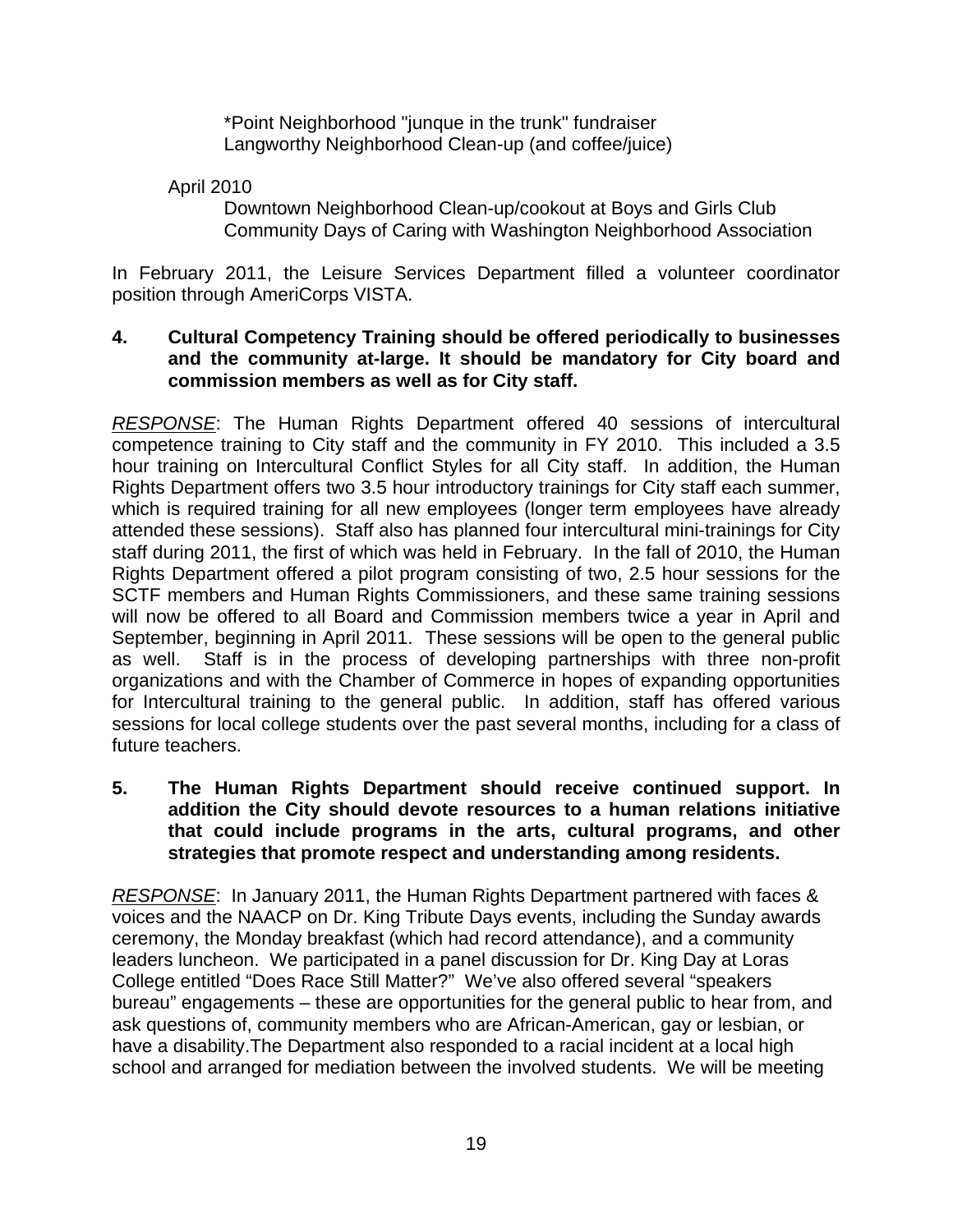\*Point Neighborhood "junque in the trunk" fundraiser Langworthy Neighborhood Clean-up (and coffee/juice)

April 2010

Downtown Neighborhood Clean-up/cookout at Boys and Girls Club Community Days of Caring with Washington Neighborhood Association

In February 2011, the Leisure Services Department filled a volunteer coordinator position through AmeriCorps VISTA.

#### **4. Cultural Competency Training should be offered periodically to businesses and the community at-large. It should be mandatory for City board and commission members as well as for City staff.**

*RESPONSE*: The Human Rights Department offered 40 sessions of intercultural competence training to City staff and the community in FY 2010. This included a 3.5 hour training on Intercultural Conflict Styles for all City staff. In addition, the Human Rights Department offers two 3.5 hour introductory trainings for City staff each summer, which is required training for all new employees (longer term employees have already attended these sessions). Staff also has planned four intercultural mini-trainings for City staff during 2011, the first of which was held in February. In the fall of 2010, the Human Rights Department offered a pilot program consisting of two, 2.5 hour sessions for the SCTF members and Human Rights Commissioners, and these same training sessions will now be offered to all Board and Commission members twice a year in April and September, beginning in April 2011. These sessions will be open to the general public as well. Staff is in the process of developing partnerships with three non-profit organizations and with the Chamber of Commerce in hopes of expanding opportunities for Intercultural training to the general public. In addition, staff has offered various sessions for local college students over the past several months, including for a class of future teachers.

**5. The Human Rights Department should receive continued support. In addition the City should devote resources to a human relations initiative that could include programs in the arts, cultural programs, and other strategies that promote respect and understanding among residents.** 

*RESPONSE*: In January 2011, the Human Rights Department partnered with faces & voices and the NAACP on Dr. King Tribute Days events, including the Sunday awards ceremony, the Monday breakfast (which had record attendance), and a community leaders luncheon. We participated in a panel discussion for Dr. King Day at Loras College entitled "Does Race Still Matter?" We've also offered several "speakers bureau" engagements – these are opportunities for the general public to hear from, and ask questions of, community members who are African-American, gay or lesbian, or have a disability.The Department also responded to a racial incident at a local high school and arranged for mediation between the involved students. We will be meeting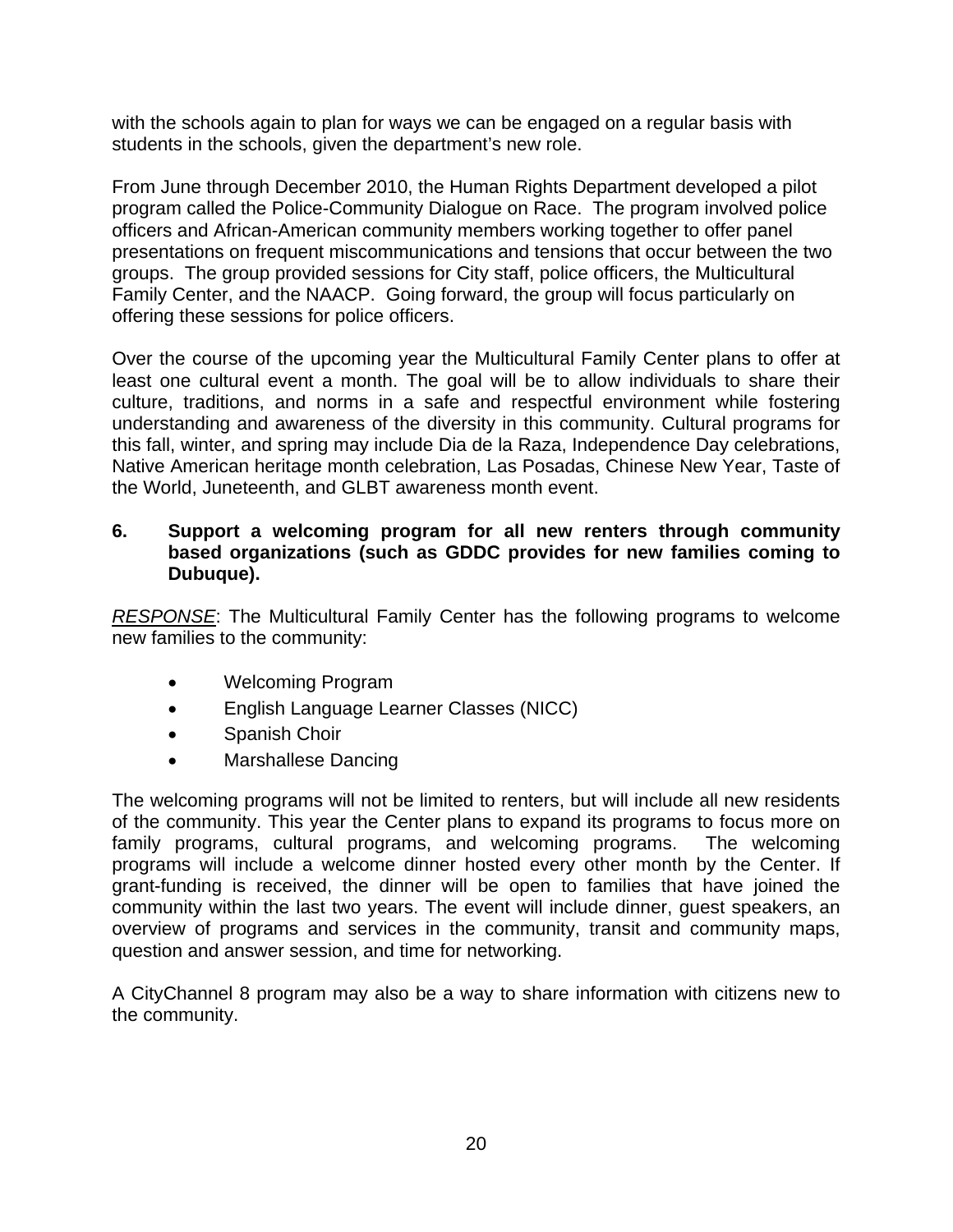with the schools again to plan for ways we can be engaged on a regular basis with students in the schools, given the department's new role.

From June through December 2010, the Human Rights Department developed a pilot program called the Police-Community Dialogue on Race. The program involved police officers and African-American community members working together to offer panel presentations on frequent miscommunications and tensions that occur between the two groups. The group provided sessions for City staff, police officers, the Multicultural Family Center, and the NAACP. Going forward, the group will focus particularly on offering these sessions for police officers.

Over the course of the upcoming year the Multicultural Family Center plans to offer at least one cultural event a month. The goal will be to allow individuals to share their culture, traditions, and norms in a safe and respectful environment while fostering understanding and awareness of the diversity in this community. Cultural programs for this fall, winter, and spring may include Dia de la Raza, Independence Day celebrations, Native American heritage month celebration, Las Posadas, Chinese New Year, Taste of the World, Juneteenth, and GLBT awareness month event.

#### **6. Support a welcoming program for all new renters through community based organizations (such as GDDC provides for new families coming to Dubuque).**

*RESPONSE*: The Multicultural Family Center has the following programs to welcome new families to the community:

- Welcoming Program
- English Language Learner Classes (NICC)
- Spanish Choir
- Marshallese Dancing

The welcoming programs will not be limited to renters, but will include all new residents of the community. This year the Center plans to expand its programs to focus more on family programs, cultural programs, and welcoming programs. The welcoming programs will include a welcome dinner hosted every other month by the Center. If grant-funding is received, the dinner will be open to families that have joined the community within the last two years. The event will include dinner, guest speakers, an overview of programs and services in the community, transit and community maps, question and answer session, and time for networking.

A CityChannel 8 program may also be a way to share information with citizens new to the community.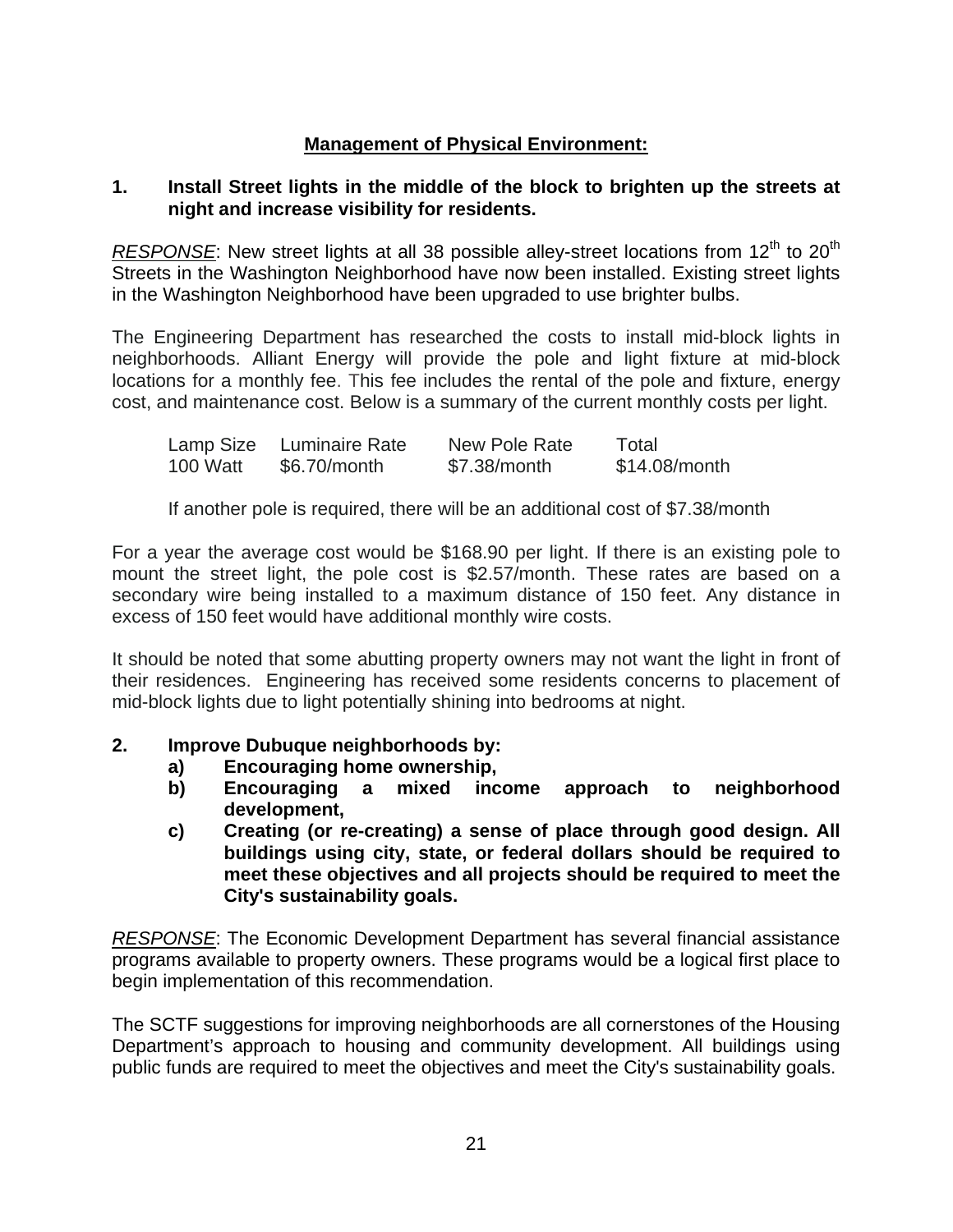## **Management of Physical Environment:**

#### **1. Install Street lights in the middle of the block to brighten up the streets at night and increase visibility for residents.**

*RESPONSE*: New street lights at all 38 possible alley-street locations from 12<sup>th</sup> to 20<sup>th</sup> Streets in the Washington Neighborhood have now been installed. Existing street lights in the Washington Neighborhood have been upgraded to use brighter bulbs.

The Engineering Department has researched the costs to install mid-block lights in neighborhoods. Alliant Energy will provide the pole and light fixture at mid-block locations for a monthly fee. This fee includes the rental of the pole and fixture, energy cost, and maintenance cost. Below is a summary of the current monthly costs per light.

| Lamp Size | Luminaire Rate | New Pole Rate | Total         |
|-----------|----------------|---------------|---------------|
| 100 Watt  | \$6.70/month   | \$7.38/month  | \$14.08/month |

If another pole is required, there will be an additional cost of \$7.38/month

For a year the average cost would be \$168.90 per light. If there is an existing pole to mount the street light, the pole cost is \$2.57/month. These rates are based on a secondary wire being installed to a maximum distance of 150 feet. Any distance in excess of 150 feet would have additional monthly wire costs.

It should be noted that some abutting property owners may not want the light in front of their residences. Engineering has received some residents concerns to placement of mid-block lights due to light potentially shining into bedrooms at night.

## **2. Improve Dubuque neighborhoods by:**

- **a) Encouraging home ownership,**
- **b) Encouraging a mixed income approach to neighborhood development,**
- **c) Creating (or re-creating) a sense of place through good design. All buildings using city, state, or federal dollars should be required to meet these objectives and all projects should be required to meet the City's sustainability goals.**

*RESPONSE*: The Economic Development Department has several financial assistance programs available to property owners. These programs would be a logical first place to begin implementation of this recommendation.

The SCTF suggestions for improving neighborhoods are all cornerstones of the Housing Department's approach to housing and community development. All buildings using public funds are required to meet the objectives and meet the City's sustainability goals.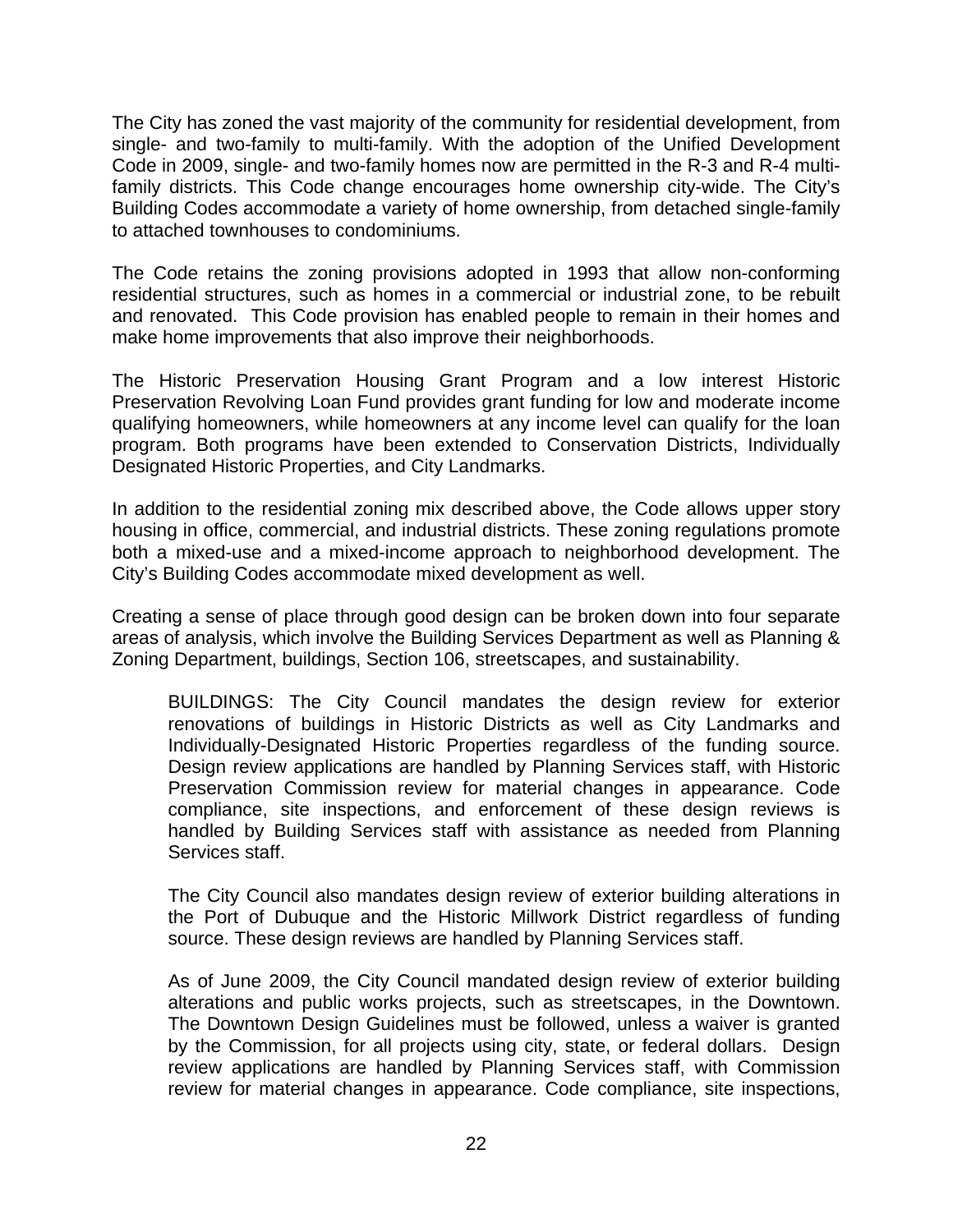The City has zoned the vast majority of the community for residential development, from single- and two-family to multi-family. With the adoption of the Unified Development Code in 2009, single- and two-family homes now are permitted in the R-3 and R-4 multifamily districts. This Code change encourages home ownership city-wide. The City's Building Codes accommodate a variety of home ownership, from detached single-family to attached townhouses to condominiums.

The Code retains the zoning provisions adopted in 1993 that allow non-conforming residential structures, such as homes in a commercial or industrial zone, to be rebuilt and renovated. This Code provision has enabled people to remain in their homes and make home improvements that also improve their neighborhoods.

The Historic Preservation Housing Grant Program and a low interest Historic Preservation Revolving Loan Fund provides grant funding for low and moderate income qualifying homeowners, while homeowners at any income level can qualify for the loan program. Both programs have been extended to Conservation Districts, Individually Designated Historic Properties, and City Landmarks.

In addition to the residential zoning mix described above, the Code allows upper story housing in office, commercial, and industrial districts. These zoning regulations promote both a mixed-use and a mixed-income approach to neighborhood development. The City's Building Codes accommodate mixed development as well.

Creating a sense of place through good design can be broken down into four separate areas of analysis, which involve the Building Services Department as well as Planning & Zoning Department, buildings, Section 106, streetscapes, and sustainability.

BUILDINGS: The City Council mandates the design review for exterior renovations of buildings in Historic Districts as well as City Landmarks and Individually-Designated Historic Properties regardless of the funding source. Design review applications are handled by Planning Services staff, with Historic Preservation Commission review for material changes in appearance. Code compliance, site inspections, and enforcement of these design reviews is handled by Building Services staff with assistance as needed from Planning Services staff.

The City Council also mandates design review of exterior building alterations in the Port of Dubuque and the Historic Millwork District regardless of funding source. These design reviews are handled by Planning Services staff.

As of June 2009, the City Council mandated design review of exterior building alterations and public works projects, such as streetscapes, in the Downtown. The Downtown Design Guidelines must be followed, unless a waiver is granted by the Commission, for all projects using city, state, or federal dollars. Design review applications are handled by Planning Services staff, with Commission review for material changes in appearance. Code compliance, site inspections,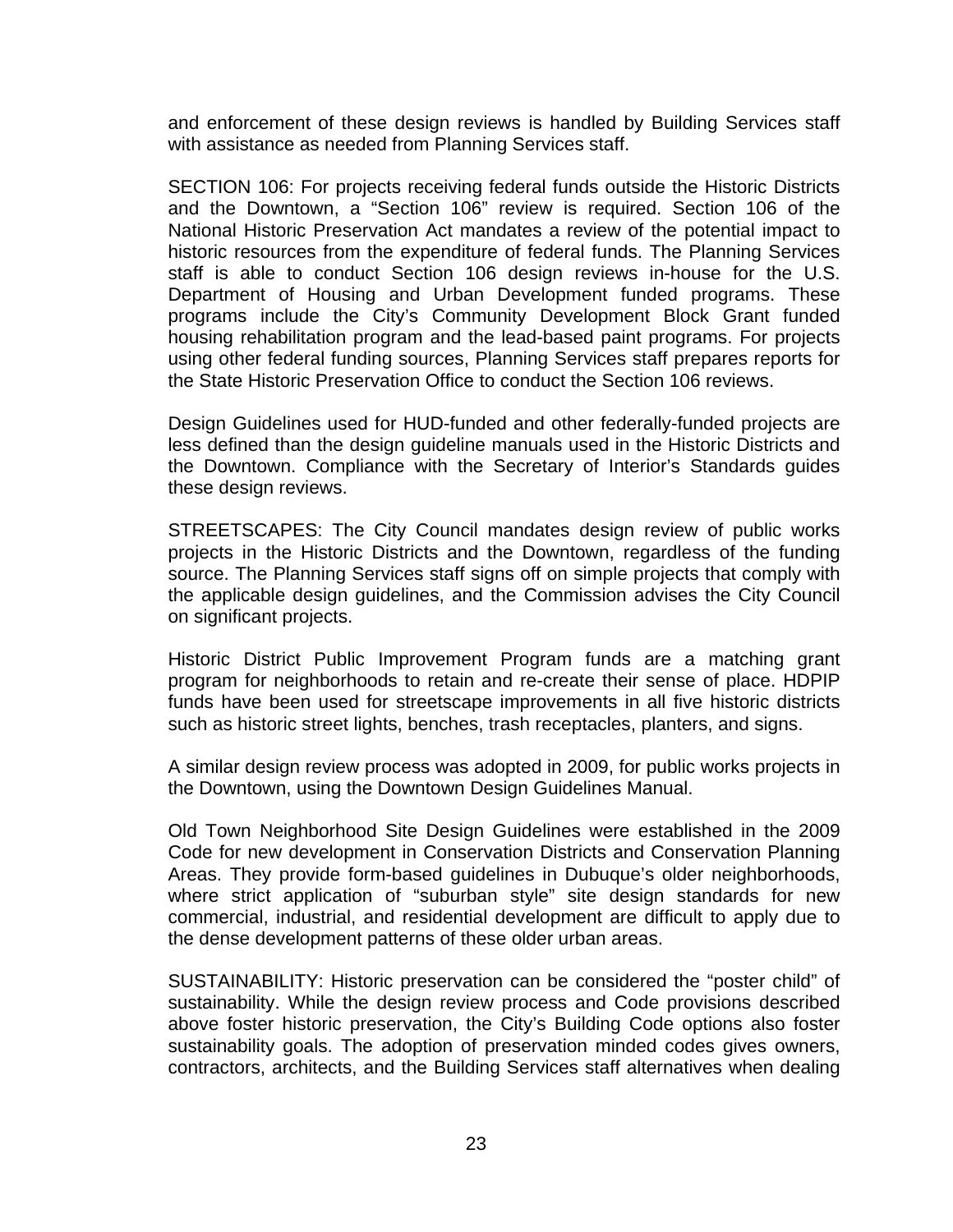and enforcement of these design reviews is handled by Building Services staff with assistance as needed from Planning Services staff.

SECTION 106: For projects receiving federal funds outside the Historic Districts and the Downtown, a "Section 106" review is required. Section 106 of the National Historic Preservation Act mandates a review of the potential impact to historic resources from the expenditure of federal funds. The Planning Services staff is able to conduct Section 106 design reviews in-house for the U.S. Department of Housing and Urban Development funded programs. These programs include the City's Community Development Block Grant funded housing rehabilitation program and the lead-based paint programs. For projects using other federal funding sources, Planning Services staff prepares reports for the State Historic Preservation Office to conduct the Section 106 reviews.

Design Guidelines used for HUD-funded and other federally-funded projects are less defined than the design guideline manuals used in the Historic Districts and the Downtown. Compliance with the Secretary of Interior's Standards guides these design reviews.

STREETSCAPES: The City Council mandates design review of public works projects in the Historic Districts and the Downtown, regardless of the funding source. The Planning Services staff signs off on simple projects that comply with the applicable design guidelines, and the Commission advises the City Council on significant projects.

Historic District Public Improvement Program funds are a matching grant program for neighborhoods to retain and re-create their sense of place. HDPIP funds have been used for streetscape improvements in all five historic districts such as historic street lights, benches, trash receptacles, planters, and signs.

A similar design review process was adopted in 2009, for public works projects in the Downtown, using the Downtown Design Guidelines Manual.

Old Town Neighborhood Site Design Guidelines were established in the 2009 Code for new development in Conservation Districts and Conservation Planning Areas. They provide form-based guidelines in Dubuque's older neighborhoods, where strict application of "suburban style" site design standards for new commercial, industrial, and residential development are difficult to apply due to the dense development patterns of these older urban areas.

SUSTAINABILITY: Historic preservation can be considered the "poster child" of sustainability. While the design review process and Code provisions described above foster historic preservation, the City's Building Code options also foster sustainability goals. The adoption of preservation minded codes gives owners, contractors, architects, and the Building Services staff alternatives when dealing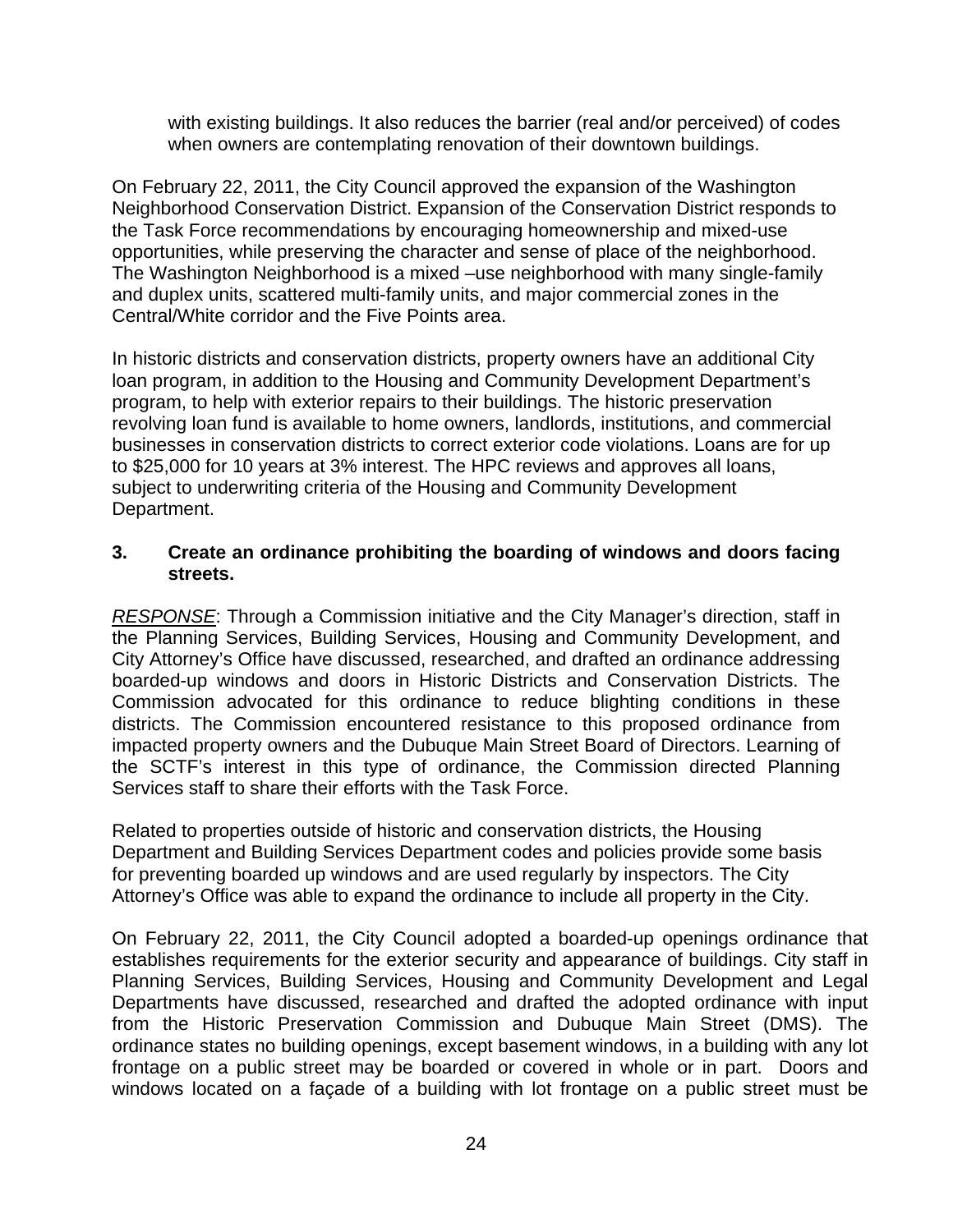with existing buildings. It also reduces the barrier (real and/or perceived) of codes when owners are contemplating renovation of their downtown buildings.

On February 22, 2011, the City Council approved the expansion of the Washington Neighborhood Conservation District. Expansion of the Conservation District responds to the Task Force recommendations by encouraging homeownership and mixed-use opportunities, while preserving the character and sense of place of the neighborhood. The Washington Neighborhood is a mixed –use neighborhood with many single-family and duplex units, scattered multi-family units, and major commercial zones in the Central/White corridor and the Five Points area.

In historic districts and conservation districts, property owners have an additional City loan program, in addition to the Housing and Community Development Department's program, to help with exterior repairs to their buildings. The historic preservation revolving loan fund is available to home owners, landlords, institutions, and commercial businesses in conservation districts to correct exterior code violations. Loans are for up to \$25,000 for 10 years at 3% interest. The HPC reviews and approves all loans, subject to underwriting criteria of the Housing and Community Development Department.

#### **3. Create an ordinance prohibiting the boarding of windows and doors facing streets.**

*RESPONSE*: Through a Commission initiative and the City Manager's direction, staff in the Planning Services, Building Services, Housing and Community Development, and City Attorney's Office have discussed, researched, and drafted an ordinance addressing boarded-up windows and doors in Historic Districts and Conservation Districts. The Commission advocated for this ordinance to reduce blighting conditions in these districts. The Commission encountered resistance to this proposed ordinance from impacted property owners and the Dubuque Main Street Board of Directors. Learning of the SCTF's interest in this type of ordinance, the Commission directed Planning Services staff to share their efforts with the Task Force.

Related to properties outside of historic and conservation districts, the Housing Department and Building Services Department codes and policies provide some basis for preventing boarded up windows and are used regularly by inspectors. The City Attorney's Office was able to expand the ordinance to include all property in the City.

On February 22, 2011, the City Council adopted a boarded-up openings ordinance that establishes requirements for the exterior security and appearance of buildings. City staff in Planning Services, Building Services, Housing and Community Development and Legal Departments have discussed, researched and drafted the adopted ordinance with input from the Historic Preservation Commission and Dubuque Main Street (DMS). The ordinance states no building openings, except basement windows, in a building with any lot frontage on a public street may be boarded or covered in whole or in part. Doors and windows located on a façade of a building with lot frontage on a public street must be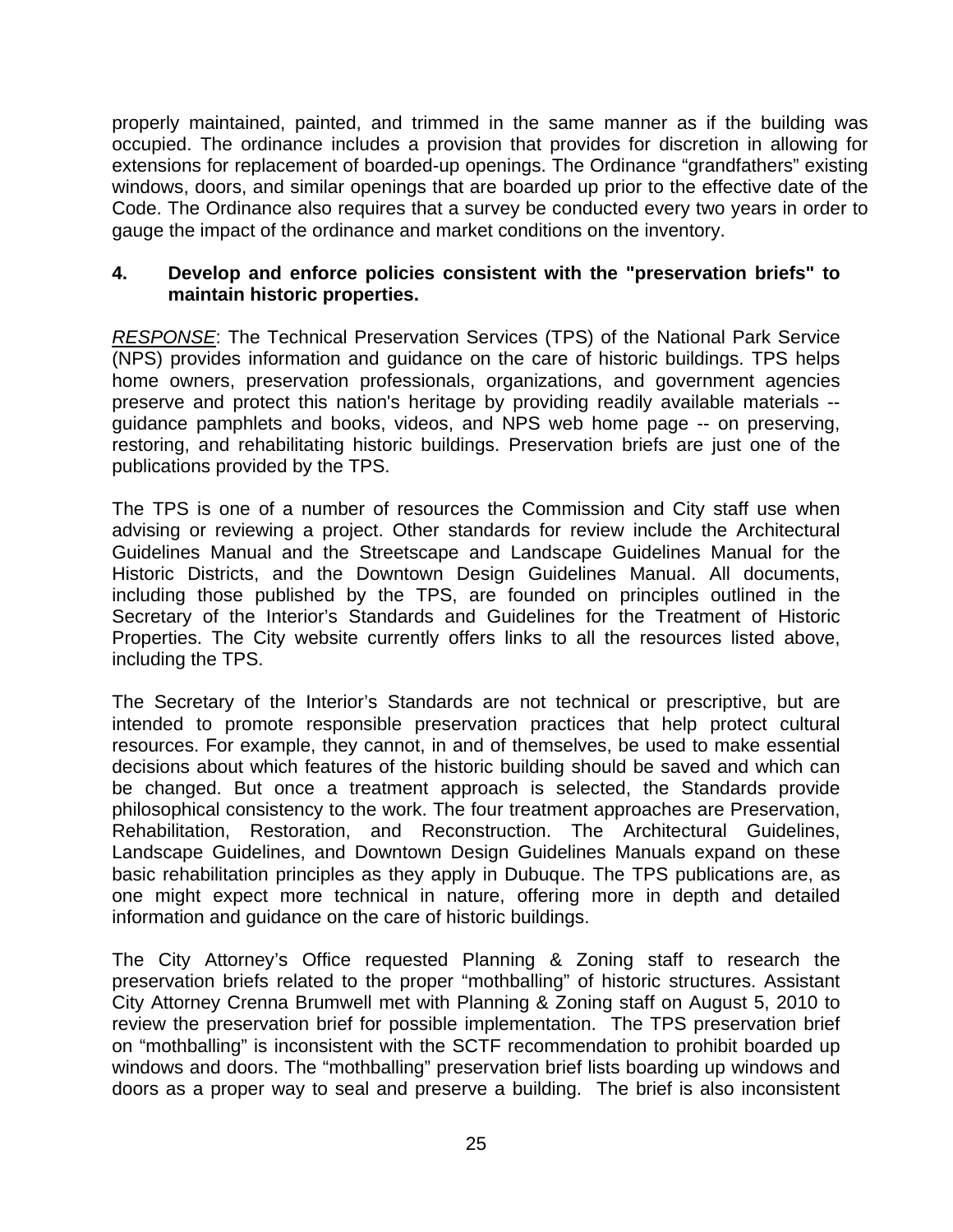properly maintained, painted, and trimmed in the same manner as if the building was occupied. The ordinance includes a provision that provides for discretion in allowing for extensions for replacement of boarded-up openings. The Ordinance "grandfathers" existing windows, doors, and similar openings that are boarded up prior to the effective date of the Code. The Ordinance also requires that a survey be conducted every two years in order to gauge the impact of the ordinance and market conditions on the inventory.

#### **4. Develop and enforce policies consistent with the "preservation briefs" to maintain historic properties.**

*RESPONSE*: The Technical Preservation Services (TPS) of the National Park Service (NPS) provides information and guidance on the care of historic buildings. TPS helps home owners, preservation professionals, organizations, and government agencies preserve and protect this nation's heritage by providing readily available materials - guidance pamphlets and books, videos, and NPS web home page -- on preserving, restoring, and rehabilitating historic buildings. Preservation briefs are just one of the publications provided by the TPS.

The TPS is one of a number of resources the Commission and City staff use when advising or reviewing a project. Other standards for review include the Architectural Guidelines Manual and the Streetscape and Landscape Guidelines Manual for the Historic Districts, and the Downtown Design Guidelines Manual. All documents, including those published by the TPS, are founded on principles outlined in the Secretary of the Interior's Standards and Guidelines for the Treatment of Historic Properties. The City website currently offers links to all the resources listed above, including the TPS.

The Secretary of the Interior's Standards are not technical or prescriptive, but are intended to promote responsible preservation practices that help protect cultural resources. For example, they cannot, in and of themselves, be used to make essential decisions about which features of the historic building should be saved and which can be changed. But once a treatment approach is selected, the Standards provide philosophical consistency to the work. The four treatment approaches are Preservation, Rehabilitation, Restoration, and Reconstruction. The Architectural Guidelines, Landscape Guidelines, and Downtown Design Guidelines Manuals expand on these basic rehabilitation principles as they apply in Dubuque. The TPS publications are, as one might expect more technical in nature, offering more in depth and detailed information and guidance on the care of historic buildings.

The City Attorney's Office requested Planning & Zoning staff to research the preservation briefs related to the proper "mothballing" of historic structures. Assistant City Attorney Crenna Brumwell met with Planning & Zoning staff on August 5, 2010 to review the preservation brief for possible implementation. The TPS preservation brief on "mothballing" is inconsistent with the SCTF recommendation to prohibit boarded up windows and doors. The "mothballing" preservation brief lists boarding up windows and doors as a proper way to seal and preserve a building. The brief is also inconsistent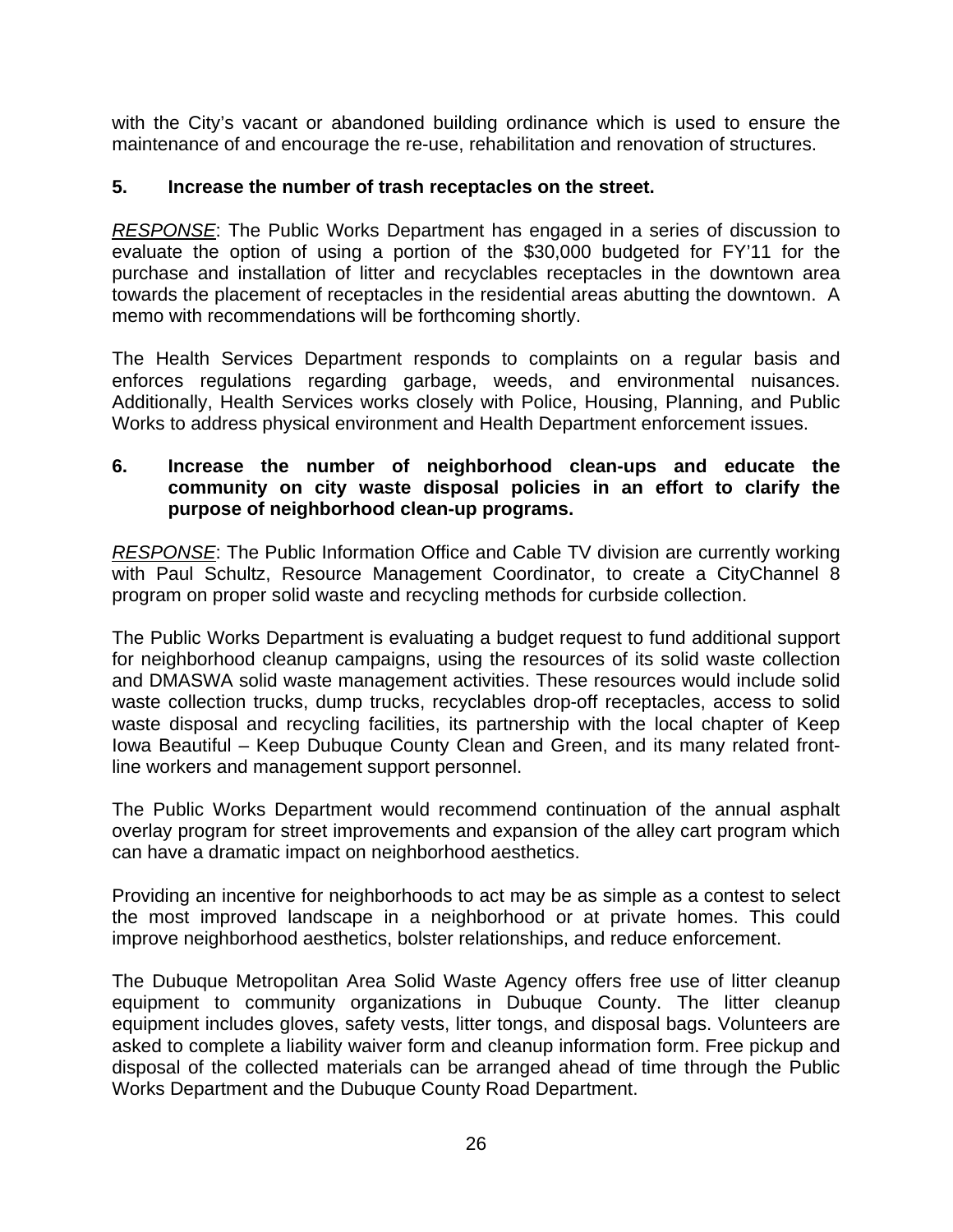with the City's vacant or abandoned building ordinance which is used to ensure the maintenance of and encourage the re-use, rehabilitation and renovation of structures.

#### **5. Increase the number of trash receptacles on the street.**

*RESPONSE*: The Public Works Department has engaged in a series of discussion to evaluate the option of using a portion of the \$30,000 budgeted for FY'11 for the purchase and installation of litter and recyclables receptacles in the downtown area towards the placement of receptacles in the residential areas abutting the downtown. A memo with recommendations will be forthcoming shortly.

The Health Services Department responds to complaints on a regular basis and enforces regulations regarding garbage, weeds, and environmental nuisances. Additionally, Health Services works closely with Police, Housing, Planning, and Public Works to address physical environment and Health Department enforcement issues.

#### **6. Increase the number of neighborhood clean-ups and educate the community on city waste disposal policies in an effort to clarify the purpose of neighborhood clean-up programs.**

*RESPONSE*: The Public Information Office and Cable TV division are currently working with Paul Schultz, Resource Management Coordinator, to create a CityChannel 8 program on proper solid waste and recycling methods for curbside collection.

The Public Works Department is evaluating a budget request to fund additional support for neighborhood cleanup campaigns, using the resources of its solid waste collection and DMASWA solid waste management activities. These resources would include solid waste collection trucks, dump trucks, recyclables drop-off receptacles, access to solid waste disposal and recycling facilities, its partnership with the local chapter of Keep Iowa Beautiful – Keep Dubuque County Clean and Green, and its many related frontline workers and management support personnel.

The Public Works Department would recommend continuation of the annual asphalt overlay program for street improvements and expansion of the alley cart program which can have a dramatic impact on neighborhood aesthetics.

Providing an incentive for neighborhoods to act may be as simple as a contest to select the most improved landscape in a neighborhood or at private homes. This could improve neighborhood aesthetics, bolster relationships, and reduce enforcement.

The Dubuque Metropolitan Area Solid Waste Agency offers free use of litter cleanup equipment to community organizations in Dubuque County. The litter cleanup equipment includes gloves, safety vests, litter tongs, and disposal bags. Volunteers are asked to complete a liability waiver form and cleanup information form. Free pickup and disposal of the collected materials can be arranged ahead of time through the Public Works Department and the Dubuque County Road Department.